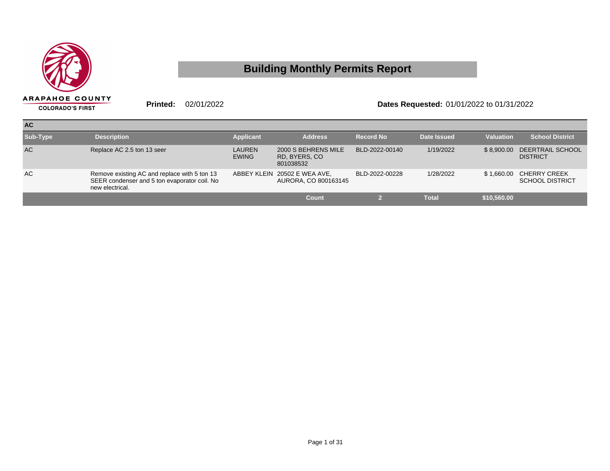

## **Building Monthly Permits Report**

**Printed:** 02/01/2022 **Dates Requested:** 01/01/2022 to 01/31/2022

| <b>AC</b> |                                                                                                                 |                               |                                                      |                  |                    |                  |                                               |
|-----------|-----------------------------------------------------------------------------------------------------------------|-------------------------------|------------------------------------------------------|------------------|--------------------|------------------|-----------------------------------------------|
| Sub-Type  | <b>Description</b>                                                                                              | <b>Applicant</b>              | <b>Address</b>                                       | <b>Record No</b> | <b>Date Issued</b> | <b>Valuation</b> | <b>School District</b>                        |
| <b>AC</b> | Replace AC 2.5 ton 13 seer                                                                                      | <b>LAUREN</b><br><b>EWING</b> | 2000 S BEHRENS MILE<br>RD, BYERS, CO<br>801038532    | BLD-2022-00140   | 1/19/2022          | \$8.900.00       | DEERTRAIL SCHOOL<br><b>DISTRICT</b>           |
| AC        | Remove existing AC and replace with 5 ton 13<br>SEER condenser and 5 ton evaporator coil. No<br>new electrical. |                               | ABBEY KLEIN 20502 E WEA AVE,<br>AURORA, CO 800163145 | BLD-2022-00228   | 1/28/2022          | \$1,660,00       | <b>CHERRY CREEK</b><br><b>SCHOOL DISTRICT</b> |
|           |                                                                                                                 |                               | Count                                                |                  | <b>Total</b>       | \$10,560.00      |                                               |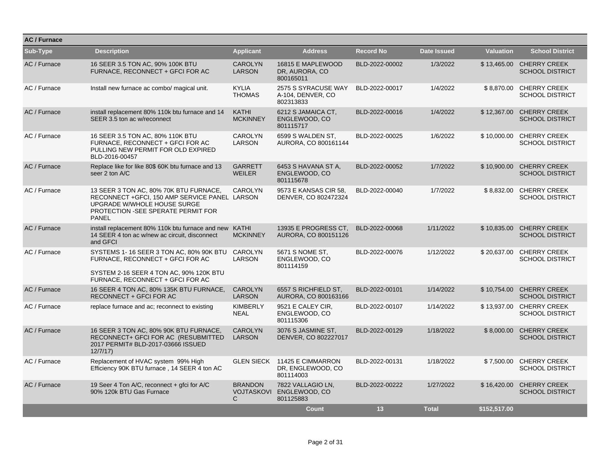| <b>AC / Furnace</b> |                                                                                                                                                                                |                                 |                                                            |                  |              |                  |                                                    |
|---------------------|--------------------------------------------------------------------------------------------------------------------------------------------------------------------------------|---------------------------------|------------------------------------------------------------|------------------|--------------|------------------|----------------------------------------------------|
| Sub-Type            | <b>Description</b>                                                                                                                                                             | <b>Applicant</b>                | <b>Address</b>                                             | <b>Record No</b> | Date Issued  | <b>Valuation</b> | <b>School District</b>                             |
| AC / Furnace        | 16 SEER 3.5 TON AC, 90% 100K BTU<br>FURNACE, RECONNECT + GFCI FOR AC                                                                                                           | <b>CAROLYN</b><br><b>LARSON</b> | 16815 E MAPLEWOOD<br>DR, AURORA, CO<br>800165011           | BLD-2022-00002   | 1/3/2022     |                  | \$13,465.00 CHERRY CREEK<br><b>SCHOOL DISTRICT</b> |
| AC / Furnace        | Install new furnace ac combo/ magical unit.                                                                                                                                    | <b>KYLIA</b><br><b>THOMAS</b>   | 2575 S SYRACUSE WAY<br>A-104, DENVER, CO<br>802313833      | BLD-2022-00017   | 1/4/2022     | \$8.870.00       | <b>CHERRY CREEK</b><br><b>SCHOOL DISTRICT</b>      |
| AC / Furnace        | install replacement 80% 110k btu furnace and 14<br>SEER 3.5 ton ac w/reconnect                                                                                                 | <b>KATHI</b><br><b>MCKINNEY</b> | 6212 S JAMAICA CT.<br>ENGLEWOOD, CO<br>801115717           | BLD-2022-00016   | 1/4/2022     |                  | \$12.367.00 CHERRY CREEK<br><b>SCHOOL DISTRICT</b> |
| AC / Furnace        | 16 SEER 3.5 TON AC, 80% 110K BTU<br>FURNACE, RECONNECT + GFCI FOR AC<br>PULLING NEW PERMIT FOR OLD EXPIRED<br>BLD-2016-00457                                                   | <b>CAROLYN</b><br><b>LARSON</b> | 6599 S WALDEN ST.<br>AURORA, CO 800161144                  | BLD-2022-00025   | 1/6/2022     |                  | \$10,000.00 CHERRY CREEK<br><b>SCHOOL DISTRICT</b> |
| AC / Furnace        | Replace like for like 80\$ 60K btu furnace and 13<br>seer 2 ton A/C                                                                                                            | <b>GARRETT</b><br><b>WEILER</b> | 6453 S HAVANA ST A.<br>ENGLEWOOD, CO<br>801115678          | BLD-2022-00052   | 1/7/2022     |                  | \$10,900.00 CHERRY CREEK<br><b>SCHOOL DISTRICT</b> |
| AC / Furnace        | 13 SEER 3 TON AC, 80% 70K BTU FURNACE,<br>RECONNECT + GFCI, 150 AMP SERVICE PANEL LARSON<br>UPGRADE W/WHOLE HOUSE SURGE<br>PROTECTION - SEE SPERATE PERMIT FOR<br><b>PANEL</b> | <b>CAROLYN</b>                  | 9573 E KANSAS CIR 58,<br>DENVER, CO 802472324              | BLD-2022-00040   | 1/7/2022     |                  | \$8,832.00 CHERRY CREEK<br><b>SCHOOL DISTRICT</b>  |
| AC / Furnace        | install replacement 80% 110k btu furnace and new KATHI<br>14 SEER 4 ton ac w/new ac circuit, disconnect<br>and GFCI                                                            | <b>MCKINNEY</b>                 | 13935 E PROGRESS CT.<br>AURORA, CO 800151126               | BLD-2022-00068   | 1/11/2022    |                  | \$10,835.00 CHERRY CREEK<br><b>SCHOOL DISTRICT</b> |
| AC / Furnace        | SYSTEMS 1-16 SEER 3 TON AC, 80% 90K BTU CAROLYN<br>FURNACE, RECONNECT + GFCI FOR AC<br>SYSTEM 2-16 SEER 4 TON AC, 90% 120K BTU<br>FURNACE, RECONNECT + GFCI FOR AC             | <b>LARSON</b>                   | 5671 S NOME ST.<br>ENGLEWOOD, CO<br>801114159              | BLD-2022-00076   | 1/12/2022    |                  | \$20.637.00 CHERRY CREEK<br><b>SCHOOL DISTRICT</b> |
| AC / Furnace        | 16 SEER 4 TON AC, 80% 135K BTU FURNACE,<br><b>RECONNECT + GFCI FOR AC</b>                                                                                                      | <b>CAROLYN</b><br><b>LARSON</b> | 6557 S RICHFIELD ST.<br>AURORA, CO 800163166               | BLD-2022-00101   | 1/14/2022    |                  | \$10,754.00 CHERRY CREEK<br><b>SCHOOL DISTRICT</b> |
| AC / Furnace        | replace furnace and ac; reconnect to existing                                                                                                                                  | <b>KIMBERLY</b><br><b>NEAL</b>  | 9521 E CALEY CIR.<br>ENGLEWOOD, CO<br>801115306            | BLD-2022-00107   | 1/14/2022    |                  | \$13.937.00 CHERRY CREEK<br><b>SCHOOL DISTRICT</b> |
| AC / Furnace        | 16 SEER 3 TON AC, 80% 90K BTU FURNACE,<br>RECONNECT+ GFCI FOR AC (RESUBMITTED<br>2017 PERMIT# BLD-2017-03666 ISSUED<br>12/7/17                                                 | <b>CAROLYN</b><br><b>LARSON</b> | 3076 S JASMINE ST,<br>DENVER, CO 802227017                 | BLD-2022-00129   | 1/18/2022    | \$8,000.00       | <b>CHERRY CREEK</b><br><b>SCHOOL DISTRICT</b>      |
| AC / Furnace        | Replacement of HVAC system 99% High<br>Efficiency 90K BTU furnace, 14 SEER 4 ton AC                                                                                            | <b>GLEN SIECK</b>               | 11425 E CIMMARRON<br>DR, ENGLEWOOD, CO<br>801114003        | BLD-2022-00131   | 1/18/2022    |                  | \$7,500.00 CHERRY CREEK<br><b>SCHOOL DISTRICT</b>  |
| AC / Furnace        | 19 Seer 4 Ton A/C, reconnect + gfci for A/C<br>90% 120k BTU Gas Furnace                                                                                                        | <b>BRANDON</b><br>$\mathsf{C}$  | 7822 VALLAGIO LN,<br>VOJTASKOVI ENGLEWOOD, CO<br>801125883 | BLD-2022-00222   | 1/27/2022    |                  | \$16,420.00 CHERRY CREEK<br><b>SCHOOL DISTRICT</b> |
|                     |                                                                                                                                                                                |                                 | Count                                                      | 13               | <b>Total</b> | \$152.517.00     |                                                    |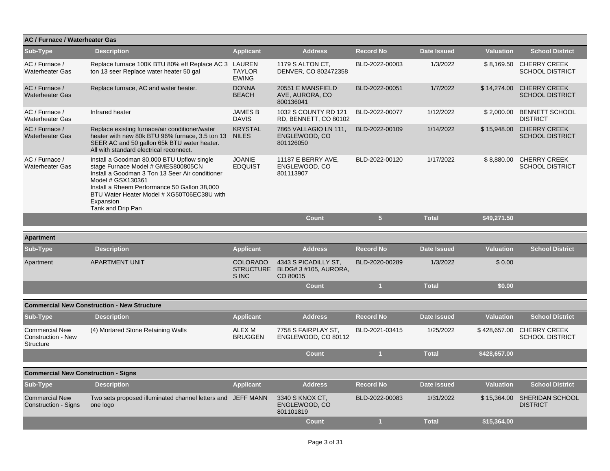| AC / Furnace / Waterheater Gas                                  |                                                                                                                                                                                                                                                                                          |                                              |                                                           |                  |                    |                  |                                                     |
|-----------------------------------------------------------------|------------------------------------------------------------------------------------------------------------------------------------------------------------------------------------------------------------------------------------------------------------------------------------------|----------------------------------------------|-----------------------------------------------------------|------------------|--------------------|------------------|-----------------------------------------------------|
| Sub-Type                                                        | <b>Description</b>                                                                                                                                                                                                                                                                       | <b>Applicant</b>                             | <b>Address</b>                                            | <b>Record No</b> | <b>Date Issued</b> | <b>Valuation</b> | <b>School District</b>                              |
| AC / Furnace /<br><b>Waterheater Gas</b>                        | Replace furnace 100K BTU 80% eff Replace AC 3 LAUREN<br>ton 13 seer Replace water heater 50 gal                                                                                                                                                                                          | <b>TAYLOR</b><br><b>EWING</b>                | 1179 S ALTON CT.<br>DENVER, CO 802472358                  | BLD-2022-00003   | 1/3/2022           |                  | \$8,169.50 CHERRY CREEK<br><b>SCHOOL DISTRICT</b>   |
| AC / Furnace /<br><b>Waterheater Gas</b>                        | Replace furnace, AC and water heater.                                                                                                                                                                                                                                                    | <b>DONNA</b><br><b>BEACH</b>                 | 20551 E MANSFIELD<br>AVE, AURORA, CO<br>800136041         | BLD-2022-00051   | 1/7/2022           | \$14,274.00      | <b>CHERRY CREEK</b><br><b>SCHOOL DISTRICT</b>       |
| AC / Furnace /<br><b>Waterheater Gas</b>                        | Infrared heater                                                                                                                                                                                                                                                                          | <b>JAMES B</b><br><b>DAVIS</b>               | 1032 S COUNTY RD 121<br>RD, BENNETT, CO 80102             | BLD-2022-00077   | 1/12/2022          |                  | \$2,000.00 BENNETT SCHOOL<br><b>DISTRICT</b>        |
| AC / Furnace /<br><b>Waterheater Gas</b>                        | Replace existing furnace/air conditioner/water<br>heater with new 80k BTU 96% furnace, 3.5 ton 13<br>SEER AC and 50 gallon 65k BTU water heater.<br>All with standard electrical reconnect.                                                                                              | <b>KRYSTAL</b><br><b>NILES</b>               | 7865 VALLAGIO LN 111,<br>ENGLEWOOD, CO<br>801126050       | BLD-2022-00109   | 1/14/2022          |                  | \$15,948.00 CHERRY CREEK<br><b>SCHOOL DISTRICT</b>  |
| AC / Furnace /<br><b>Waterheater Gas</b>                        | Install a Goodman 80,000 BTU Upflow single<br>stage Furnace Model # GMES800805CN<br>Install a Goodman 3 Ton 13 Seer Air conditioner<br>Model # GSX130361<br>Install a Rheem Performance 50 Gallon 38,000<br>BTU Water Heater Model # XG50T06EC38U with<br>Expansion<br>Tank and Drip Pan | <b>JOANIE</b><br><b>EDQUIST</b>              | 11187 E BERRY AVE,<br>ENGLEWOOD, CO<br>801113907          | BLD-2022-00120   | 1/17/2022          |                  | \$8,880.00 CHERRY CREEK<br><b>SCHOOL DISTRICT</b>   |
|                                                                 |                                                                                                                                                                                                                                                                                          |                                              | Count                                                     | 5 <sup>5</sup>   | <b>Total</b>       | \$49,271.50      |                                                     |
| <b>Apartment</b>                                                |                                                                                                                                                                                                                                                                                          |                                              |                                                           |                  |                    |                  |                                                     |
| <b>Sub-Type</b>                                                 | <b>Description</b>                                                                                                                                                                                                                                                                       | <b>Applicant</b>                             | <b>Address</b>                                            | <b>Record No</b> | <b>Date Issued</b> | <b>Valuation</b> | <b>School District</b>                              |
| Apartment                                                       | <b>APARTMENT UNIT</b>                                                                                                                                                                                                                                                                    | <b>COLORADO</b><br><b>STRUCTURE</b><br>S INC | 4343 S PICADILLY ST.<br>BLDG# 3 #105, AURORA,<br>CO 80015 | BLD-2020-00289   | 1/3/2022           | \$0.00           |                                                     |
|                                                                 |                                                                                                                                                                                                                                                                                          |                                              | <b>Count</b>                                              | $\mathbf{1}$     | <b>Total</b>       | \$0.00           |                                                     |
|                                                                 | <b>Commercial New Construction - New Structure</b>                                                                                                                                                                                                                                       |                                              |                                                           |                  |                    |                  |                                                     |
| Sub-Type                                                        | <b>Description</b>                                                                                                                                                                                                                                                                       | <b>Applicant</b>                             | <b>Address</b>                                            | <b>Record No</b> | Date Issued        | <b>Valuation</b> | <b>School District</b>                              |
| <b>Commercial New</b><br>Construction - New<br><b>Structure</b> | (4) Mortared Stone Retaining Walls                                                                                                                                                                                                                                                       | ALEX M<br><b>BRUGGEN</b>                     | 7758 S FAIRPLAY ST.<br>ENGLEWOOD, CO 80112                | BLD-2021-03415   | 1/25/2022          |                  | \$428,657.00 CHERRY CREEK<br><b>SCHOOL DISTRICT</b> |
|                                                                 |                                                                                                                                                                                                                                                                                          |                                              | Count                                                     | $\mathbf{1}$     | <b>Total</b>       | \$428,657.00     |                                                     |
| <b>Commercial New Construction - Signs</b>                      |                                                                                                                                                                                                                                                                                          |                                              |                                                           |                  |                    |                  |                                                     |
| Sub-Type                                                        | <b>Description</b>                                                                                                                                                                                                                                                                       | <b>Applicant</b>                             | <b>Address</b>                                            | <b>Record No</b> | <b>Date Issued</b> | <b>Valuation</b> | <b>School District</b>                              |
| <b>Commercial New</b><br><b>Construction - Signs</b>            | Two sets proposed illuminated channel letters and JEFF MANN<br>one logo                                                                                                                                                                                                                  |                                              | 3340 S KNOX CT,<br>ENGLEWOOD, CO<br>801101819             | BLD-2022-00083   | 1/31/2022          |                  | \$15,364.00 SHERIDAN SCHOOL<br><b>DISTRICT</b>      |
|                                                                 |                                                                                                                                                                                                                                                                                          |                                              | Count                                                     | $\overline{1}$   | <b>Total</b>       | \$15.364.00      |                                                     |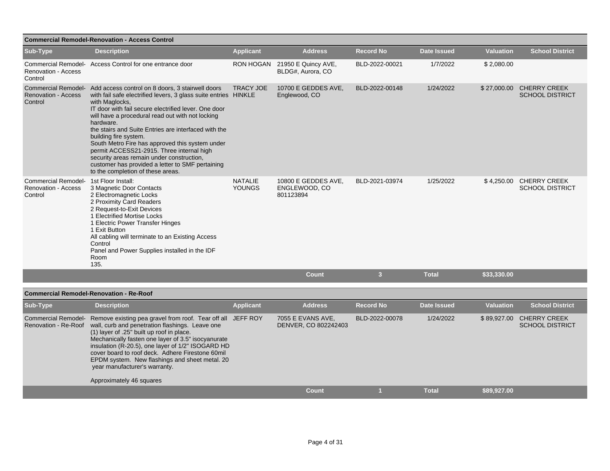| <b>Commercial Remodel-Renovation - Access Control</b>        |                                                                                                                                                                                                                                                                                                                                                                                                                                                                                                                                                                                       |                                 |                                                   |                         |                    |                  |                                               |  |  |  |
|--------------------------------------------------------------|---------------------------------------------------------------------------------------------------------------------------------------------------------------------------------------------------------------------------------------------------------------------------------------------------------------------------------------------------------------------------------------------------------------------------------------------------------------------------------------------------------------------------------------------------------------------------------------|---------------------------------|---------------------------------------------------|-------------------------|--------------------|------------------|-----------------------------------------------|--|--|--|
| Sub-Type                                                     | <b>Description</b>                                                                                                                                                                                                                                                                                                                                                                                                                                                                                                                                                                    | <b>Applicant</b>                | <b>Address</b>                                    | <b>Record No</b>        | <b>Date Issued</b> | <b>Valuation</b> | <b>School District</b>                        |  |  |  |
| Commercial Remodel-<br><b>Renovation - Access</b><br>Control | Access Control for one entrance door                                                                                                                                                                                                                                                                                                                                                                                                                                                                                                                                                  | <b>RON HOGAN</b>                | 21950 E Quincy AVE,<br>BLDG#, Aurora, CO          | BLD-2022-00021          | 1/7/2022           | \$2,080.00       |                                               |  |  |  |
| <b>Commercial Remodel-</b><br>Renovation - Access<br>Control | Add access control on 8 doors, 3 stairwell doors<br>with fail safe electrified levers, 3 glass suite entries HINKLE<br>with Maglocks,<br>IT door with fail secure electrified lever. One door<br>will have a procedural read out with not locking<br>hardware.<br>the stairs and Suite Entries are interfaced with the<br>building fire system.<br>South Metro Fire has approved this system under<br>permit ACCESS21-2915. Three internal high<br>security areas remain under construction,<br>customer has provided a letter to SMF pertaining<br>to the completion of these areas. | <b>TRACY JOE</b>                | 10700 E GEDDES AVE,<br>Englewood, CO              | BLD-2022-00148          | 1/24/2022          | \$27,000.00      | <b>CHERRY CREEK</b><br><b>SCHOOL DISTRICT</b> |  |  |  |
| Commercial Remodel-<br><b>Renovation - Access</b><br>Control | 1st Floor Install:<br>3 Magnetic Door Contacts<br>2 Electromagnetic Locks<br>2 Proximity Card Readers<br>2 Request-to-Exit Devices<br>1 Electrified Mortise Locks<br>1 Electric Power Transfer Hinges<br>1 Exit Button<br>All cabling will terminate to an Existing Access<br>Control<br>Panel and Power Supplies installed in the IDF<br>Room<br>135.                                                                                                                                                                                                                                | <b>NATALIE</b><br><b>YOUNGS</b> | 10800 E GEDDES AVE.<br>ENGLEWOOD, CO<br>801123894 | BLD-2021-03974          | 1/25/2022          | \$4,250.00       | <b>CHERRY CREEK</b><br><b>SCHOOL DISTRICT</b> |  |  |  |
|                                                              |                                                                                                                                                                                                                                                                                                                                                                                                                                                                                                                                                                                       |                                 | <b>Count</b>                                      | $\overline{\mathbf{3}}$ | <b>Total</b>       | \$33,330.00      |                                               |  |  |  |
|                                                              | <b>Commercial Remodel-Renovation - Re-Roof</b>                                                                                                                                                                                                                                                                                                                                                                                                                                                                                                                                        |                                 |                                                   |                         |                    |                  |                                               |  |  |  |
|                                                              |                                                                                                                                                                                                                                                                                                                                                                                                                                                                                                                                                                                       |                                 |                                                   |                         |                    |                  |                                               |  |  |  |

| Sub-Type             | <b>Description</b>                                                                                                                                                                                                                                                                                                                                                                                                                                            | <b>Applicant</b> | <b>Address</b>                            | <b>Record No</b> | Date Issued  | <b>Valuation</b> | <b>School District</b>                        |
|----------------------|---------------------------------------------------------------------------------------------------------------------------------------------------------------------------------------------------------------------------------------------------------------------------------------------------------------------------------------------------------------------------------------------------------------------------------------------------------------|------------------|-------------------------------------------|------------------|--------------|------------------|-----------------------------------------------|
| Renovation - Re-Roof | Commercial Remodel- Remove existing pea gravel from roof. Tear off all JEFF ROY<br>wall, curb and penetration flashings. Leave one<br>(1) layer of .25" built up roof in place.<br>Mechanically fasten one layer of 3.5" isocyanurate<br>insulation (R-20.5), one layer of 1/2" ISOGARD HD<br>cover board to roof deck. Adhere Firestone 60mil<br>EPDM system. New flashings and sheet metal. 20<br>year manufacturer's warranty.<br>Approximately 46 squares |                  | 7055 E EVANS AVE,<br>DENVER, CO 802242403 | BLD-2022-00078   | 1/24/2022    | \$89,927.00      | <b>CHERRY CREEK</b><br><b>SCHOOL DISTRICT</b> |
|                      |                                                                                                                                                                                                                                                                                                                                                                                                                                                               |                  | Count                                     |                  | <b>Total</b> | \$89,927.00      |                                               |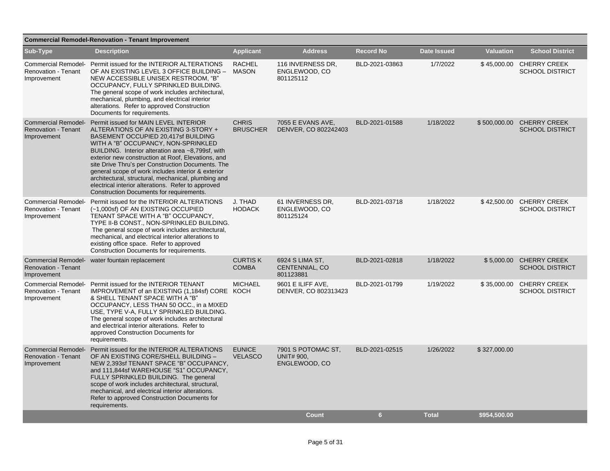|                                                                         | <b>Commercial Remodel-Renovation - Tenant Improvement</b>                                                                                                                                                                                                                                                                                                                                                                                                                                                                                                      |                                 |                                                          |                  |                    |                  |                                                     |
|-------------------------------------------------------------------------|----------------------------------------------------------------------------------------------------------------------------------------------------------------------------------------------------------------------------------------------------------------------------------------------------------------------------------------------------------------------------------------------------------------------------------------------------------------------------------------------------------------------------------------------------------------|---------------------------------|----------------------------------------------------------|------------------|--------------------|------------------|-----------------------------------------------------|
| Sub-Type                                                                | <b>Description</b>                                                                                                                                                                                                                                                                                                                                                                                                                                                                                                                                             | <b>Applicant</b>                | <b>Address</b>                                           | <b>Record No</b> | <b>Date Issued</b> | <b>Valuation</b> | <b>School District</b>                              |
| <b>Renovation - Tenant</b><br>Improvement                               | Commercial Remodel- Permit issued for the INTERIOR ALTERATIONS<br>OF AN EXISTING LEVEL 3 OFFICE BUILDING -<br>NEW ACCESSIBLE UNISEX RESTROOM, "B"<br>OCCUPANCY, FULLY SPRINKLED BUILDING.<br>The general scope of work includes architectural,<br>mechanical, plumbing, and electrical interior<br>alterations. Refer to approved Construction<br>Documents for requirements.                                                                                                                                                                                  | <b>RACHEL</b><br><b>MASON</b>   | 116 INVERNESS DR.<br>ENGLEWOOD, CO<br>801125112          | BLD-2021-03863   | 1/7/2022           |                  | \$45,000.00 CHERRY CREEK<br><b>SCHOOL DISTRICT</b>  |
| <b>Renovation - Tenant</b><br>Improvement                               | Commercial Remodel- Permit issued for MAIN LEVEL INTERIOR<br>ALTERATIONS OF AN EXISTING 3-STORY +<br>BASEMENT OCCUPIED 20,417sf BUILDING<br>WITH A "B" OCCUPANCY, NON-SPRINKLED<br>BUILDING. Interior alteration area ~8,799sf, with<br>exterior new construction at Roof, Elevations, and<br>site Drive Thru's per Construction Documents. The<br>general scope of work includes interior & exterior<br>architectural, structural, mechanical, plumbing and<br>electrical interior alterations. Refer to approved<br>Construction Documents for requirements. | <b>CHRIS</b><br><b>BRUSCHER</b> | 7055 E EVANS AVE.<br>DENVER, CO 802242403                | BLD-2021-01588   | 1/18/2022          |                  | \$500,000.00 CHERRY CREEK<br><b>SCHOOL DISTRICT</b> |
| <b>Renovation - Tenant</b><br>Improvement                               | Commercial Remodel- Permit issued for the INTERIOR ALTERATIONS<br>(~1,000sf) OF AN EXISTING OCCUPIED<br>TENANT SPACE WITH A "B" OCCUPANCY,<br>TYPE II-B CONST., NON-SPRINKLED BUILDING.<br>The general scope of work includes architectural,<br>mechanical, and electrical interior alterations to<br>existing office space. Refer to approved<br>Construction Documents for requirements.                                                                                                                                                                     | J. THAD<br><b>HODACK</b>        | 61 INVERNESS DR,<br>ENGLEWOOD, CO<br>801125124           | BLD-2021-03718   | 1/18/2022          |                  | \$42,500.00 CHERRY CREEK<br><b>SCHOOL DISTRICT</b>  |
| <b>Commercial Remodel-</b><br><b>Renovation - Tenant</b><br>Improvement | water fountain replacement                                                                                                                                                                                                                                                                                                                                                                                                                                                                                                                                     | <b>CURTISK</b><br><b>COMBA</b>  | 6924 S LIMA ST,<br>CENTENNIAL, CO<br>801123881           | BLD-2021-02818   | 1/18/2022          |                  | \$5,000.00 CHERRY CREEK<br><b>SCHOOL DISTRICT</b>   |
| Renovation - Tenant<br>Improvement                                      | Commercial Remodel- Permit issued for the INTERIOR TENANT<br>IMPROVEMENT of an EXISTING (1,184sf) CORE KOCH<br>& SHELL TENANT SPACE WITH A "B"<br>OCCUPANCY, LESS THAN 50 OCC., in a MIXED<br>USE, TYPE V-A, FULLY SPRINKLED BUILDING.<br>The general scope of work includes architectural<br>and electrical interior alterations. Refer to<br>approved Construction Documents for<br>requirements.                                                                                                                                                            | <b>MICHAEL</b>                  | 9601 E ILIFF AVE,<br>DENVER, CO 802313423                | BLD-2021-01799   | 1/19/2022          |                  | \$35,000.00 CHERRY CREEK<br><b>SCHOOL DISTRICT</b>  |
| <b>Commercial Remodel-</b><br><b>Renovation - Tenant</b><br>Improvement | Permit issued for the INTERIOR ALTERATIONS<br>OF AN EXISTING CORE/SHELL BUILDING -<br>NEW 2,393sf TENANT SPACE "B" OCCUPANCY,<br>and 111,844sf WAREHOUSE "S1" OCCUPANCY,<br>FULLY SPRINKLED BUILDING. The general<br>scope of work includes architectural, structural,<br>mechanical, and electrical interior alterations.<br>Refer to approved Construction Documents for<br>requirements.                                                                                                                                                                    | <b>EUNICE</b><br><b>VELASCO</b> | 7901 S POTOMAC ST.<br><b>UNIT# 900.</b><br>ENGLEWOOD, CO | BLD-2021-02515   | 1/26/2022          | \$327,000.00     |                                                     |
|                                                                         |                                                                                                                                                                                                                                                                                                                                                                                                                                                                                                                                                                |                                 | <b>Count</b>                                             | 6                | <b>Total</b>       | \$954,500.00     |                                                     |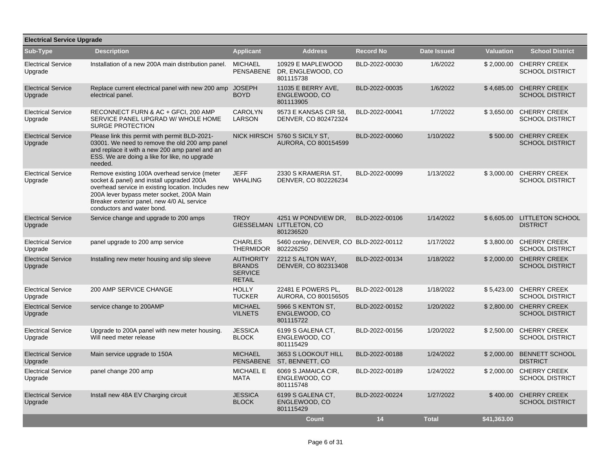| <b>Electrical Service Upgrade</b>    |                                                                                                                                                                                                                                                                           |                                                                      |                                                              |                  |                    |                  |                                                   |
|--------------------------------------|---------------------------------------------------------------------------------------------------------------------------------------------------------------------------------------------------------------------------------------------------------------------------|----------------------------------------------------------------------|--------------------------------------------------------------|------------------|--------------------|------------------|---------------------------------------------------|
| Sub-Type                             | <b>Description</b>                                                                                                                                                                                                                                                        | <b>Applicant</b>                                                     | <b>Address</b>                                               | <b>Record No</b> | <b>Date Issued</b> | <b>Valuation</b> | <b>School District</b>                            |
| <b>Electrical Service</b><br>Upgrade | Installation of a new 200A main distribution panel.                                                                                                                                                                                                                       | MICHAEL<br><b>PENSABENE</b>                                          | 10929 E MAPLEWOOD<br>DR, ENGLEWOOD, CO<br>801115738          | BLD-2022-00030   | 1/6/2022           |                  | \$2,000.00 CHERRY CREEK<br><b>SCHOOL DISTRICT</b> |
| <b>Electrical Service</b><br>Upgrade | Replace current electrical panel with new 200 amp<br>electrical panel.                                                                                                                                                                                                    | <b>JOSEPH</b><br><b>BOYD</b>                                         | 11035 E BERRY AVE,<br>ENGLEWOOD, CO<br>801113905             | BLD-2022-00035   | 1/6/2022           | \$4,685.00       | <b>CHERRY CREEK</b><br><b>SCHOOL DISTRICT</b>     |
| <b>Electrical Service</b><br>Upgrade | RECONNECT FURN & AC + GFCI, 200 AMP<br>SERVICE PANEL UPGRAD W/ WHOLE HOME<br><b>SURGE PROTECTION</b>                                                                                                                                                                      | <b>CAROLYN</b><br>LARSON                                             | 9573 E KANSAS CIR 58,<br>DENVER, CO 802472324                | BLD-2022-00041   | 1/7/2022           |                  | \$3,650.00 CHERRY CREEK<br><b>SCHOOL DISTRICT</b> |
| <b>Electrical Service</b><br>Upgrade | Please link this permit with permit BLD-2021-<br>03001. We need to remove the old 200 amp panel<br>and replace it with a new 200 amp panel and an<br>ESS. We are doing a like for like, no upgrade<br>needed.                                                             |                                                                      | NICK HIRSCH 5760 S SICILY ST.<br>AURORA, CO 800154599        | BLD-2022-00060   | 1/10/2022          | \$500.00         | <b>CHERRY CREEK</b><br><b>SCHOOL DISTRICT</b>     |
| <b>Electrical Service</b><br>Upgrade | Remove existing 100A overhead service (meter<br>socket & panel) and install upgraded 200A<br>overhead service in existing location. Includes new<br>200A lever bypass meter socket, 200A Main<br>Breaker exterior panel, new 4/0 AL service<br>conductors and water bond. | <b>JEFF</b><br><b>WHALING</b>                                        | 2330 S KRAMERIA ST,<br>DENVER, CO 802226234                  | BLD-2022-00099   | 1/13/2022          |                  | \$3,000.00 CHERRY CREEK<br><b>SCHOOL DISTRICT</b> |
| <b>Electrical Service</b><br>Upgrade | Service change and upgrade to 200 amps                                                                                                                                                                                                                                    | <b>TROY</b>                                                          | 4251 W PONDVIEW DR.<br>GIESSELMAN LITTLETON, CO<br>801236520 | BLD-2022-00106   | 1/14/2022          |                  | \$6,605.00 LITTLETON SCHOOL<br><b>DISTRICT</b>    |
| <b>Electrical Service</b><br>Upgrade | panel upgrade to 200 amp service                                                                                                                                                                                                                                          | <b>CHARLES</b><br><b>THERMIDOR</b>                                   | 5460 conley, DENVER, CO BLD-2022-00112<br>802226250          |                  | 1/17/2022          | \$3.800.00       | <b>CHERRY CREEK</b><br><b>SCHOOL DISTRICT</b>     |
| <b>Electrical Service</b><br>Upgrade | Installing new meter housing and slip sleeve                                                                                                                                                                                                                              | <b>AUTHORITY</b><br><b>BRANDS</b><br><b>SERVICE</b><br><b>RETAIL</b> | 2212 S ALTON WAY.<br>DENVER, CO 802313408                    | BLD-2022-00134   | 1/18/2022          |                  | \$2,000.00 CHERRY CREEK<br><b>SCHOOL DISTRICT</b> |
| <b>Electrical Service</b><br>Upgrade | 200 AMP SERVICE CHANGE                                                                                                                                                                                                                                                    | <b>HOLLY</b><br><b>TUCKER</b>                                        | 22481 E POWERS PL,<br>AURORA, CO 800156505                   | BLD-2022-00128   | 1/18/2022          | \$5,423.00       | <b>CHERRY CREEK</b><br><b>SCHOOL DISTRICT</b>     |
| <b>Electrical Service</b><br>Upgrade | service change to 200AMP                                                                                                                                                                                                                                                  | <b>MICHAEL</b><br><b>VILNETS</b>                                     | 5966 S KENTON ST.<br>ENGLEWOOD, CO<br>801115722              | BLD-2022-00152   | 1/20/2022          |                  | \$2,800.00 CHERRY CREEK<br><b>SCHOOL DISTRICT</b> |
| <b>Electrical Service</b><br>Upgrade | Upgrade to 200A panel with new meter housing.<br>Will need meter release                                                                                                                                                                                                  | <b>JESSICA</b><br><b>BLOCK</b>                                       | 6199 S GALENA CT,<br>ENGLEWOOD, CO<br>801115429              | BLD-2022-00156   | 1/20/2022          | \$2,500.00       | <b>CHERRY CREEK</b><br><b>SCHOOL DISTRICT</b>     |
| <b>Electrical Service</b><br>Upgrade | Main service upgrade to 150A                                                                                                                                                                                                                                              | <b>MICHAEL</b><br><b>PENSABENE</b>                                   | 3653 S LOOKOUT HILL<br>ST, BENNETT, CO                       | BLD-2022-00188   | 1/24/2022          |                  | \$2,000.00 BENNETT SCHOOL<br><b>DISTRICT</b>      |
| <b>Electrical Service</b><br>Upgrade | panel change 200 amp                                                                                                                                                                                                                                                      | <b>MICHAEL E</b><br>MATA                                             | 6069 S JAMAICA CIR,<br>ENGLEWOOD, CO<br>801115748            | BLD-2022-00189   | 1/24/2022          |                  | \$2,000.00 CHERRY CREEK<br><b>SCHOOL DISTRICT</b> |
| <b>Electrical Service</b><br>Upgrade | Install new 48A EV Charging circuit                                                                                                                                                                                                                                       | <b>JESSICA</b><br><b>BLOCK</b>                                       | 6199 S GALENA CT,<br>ENGLEWOOD, CO<br>801115429              | BLD-2022-00224   | 1/27/2022          |                  | \$400.00 CHERRY CREEK<br><b>SCHOOL DISTRICT</b>   |
|                                      |                                                                                                                                                                                                                                                                           |                                                                      | Count                                                        | 14               | <b>Total</b>       | \$41,363.00      |                                                   |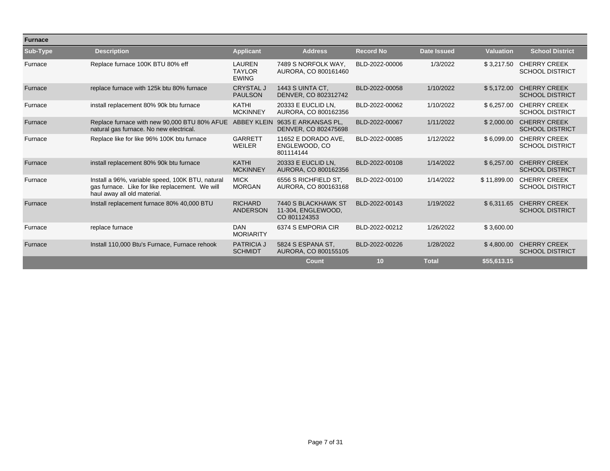| <b>Furnace</b> |                                                                                                                                    |                                                |                                                           |                  |                    |                  |                                               |
|----------------|------------------------------------------------------------------------------------------------------------------------------------|------------------------------------------------|-----------------------------------------------------------|------------------|--------------------|------------------|-----------------------------------------------|
| Sub-Type       | <b>Description</b>                                                                                                                 | <b>Applicant</b>                               | <b>Address</b>                                            | <b>Record No</b> | <b>Date Issued</b> | <b>Valuation</b> | <b>School District</b>                        |
| Furnace        | Replace furnace 100K BTU 80% eff                                                                                                   | <b>LAUREN</b><br><b>TAYLOR</b><br><b>EWING</b> | 7489 S NORFOLK WAY.<br>AURORA, CO 800161460               | BLD-2022-00006   | 1/3/2022           | \$3,217.50       | <b>CHERRY CREEK</b><br><b>SCHOOL DISTRICT</b> |
| Furnace        | replace furnace with 125k btu 80% furnace                                                                                          | <b>CRYSTAL J</b><br><b>PAULSON</b>             | <b>1443 S UINTA CT,</b><br>DENVER, CO 802312742           | BLD-2022-00058   | 1/10/2022          | \$5,172.00       | <b>CHERRY CREEK</b><br><b>SCHOOL DISTRICT</b> |
| Furnace        | install replacement 80% 90k btu furnace                                                                                            | <b>KATHI</b><br><b>MCKINNEY</b>                | 20333 E EUCLID LN.<br>AURORA, CO 800162356                | BLD-2022-00062   | 1/10/2022          | \$6,257.00       | <b>CHERRY CREEK</b><br><b>SCHOOL DISTRICT</b> |
| Furnace        | Replace furnace with new 90,000 BTU 80% AFUE<br>natural gas furnace. No new electrical.                                            | <b>ABBEY KLEIN</b>                             | 9635 E ARKANSAS PL.<br>DENVER, CO 802475698               | BLD-2022-00067   | 1/11/2022          | \$2,000.00       | <b>CHERRY CREEK</b><br><b>SCHOOL DISTRICT</b> |
| Furnace        | Replace like for like 96% 100K btu furnace                                                                                         | <b>GARRETT</b><br><b>WEILER</b>                | 11652 E DORADO AVE.<br>ENGLEWOOD, CO<br>801114144         | BLD-2022-00085   | 1/12/2022          | \$6,099.00       | <b>CHERRY CREEK</b><br><b>SCHOOL DISTRICT</b> |
| Furnace        | install replacement 80% 90k btu furnace                                                                                            | <b>KATHI</b><br><b>MCKINNEY</b>                | 20333 E EUCLID LN.<br>AURORA, CO 800162356                | BLD-2022-00108   | 1/14/2022          | \$6.257.00       | <b>CHERRY CREEK</b><br><b>SCHOOL DISTRICT</b> |
| Furnace        | Install a 96%, variable speed, 100K BTU, natural<br>gas furnace. Like for like replacement. We will<br>haul away all old material. | <b>MICK</b><br><b>MORGAN</b>                   | 6556 S RICHFIELD ST.<br>AURORA, CO 800163168              | BLD-2022-00100   | 1/14/2022          | \$11,899.00      | <b>CHERRY CREEK</b><br><b>SCHOOL DISTRICT</b> |
| Furnace        | Install replacement furnace 80% 40,000 BTU                                                                                         | <b>RICHARD</b><br><b>ANDERSON</b>              | 7440 S BLACKHAWK ST<br>11-304, ENGLEWOOD,<br>CO 801124353 | BLD-2022-00143   | 1/19/2022          | \$6,311.65       | <b>CHERRY CREEK</b><br><b>SCHOOL DISTRICT</b> |
| Furnace        | replace furnace                                                                                                                    | <b>DAN</b><br><b>MORIARITY</b>                 | 6374 S EMPORIA CIR                                        | BLD-2022-00212   | 1/26/2022          | \$3,600.00       |                                               |
| Furnace        | Install 110,000 Btu's Furnace, Furnace rehook                                                                                      | <b>PATRICIA J</b><br><b>SCHMIDT</b>            | 5824 S ESPANA ST.<br>AURORA, CO 800155105                 | BLD-2022-00226   | 1/28/2022          | \$4,800.00       | <b>CHERRY CREEK</b><br><b>SCHOOL DISTRICT</b> |
|                |                                                                                                                                    |                                                | <b>Count</b>                                              | 10               | <b>Total</b>       | \$55,613.15      |                                               |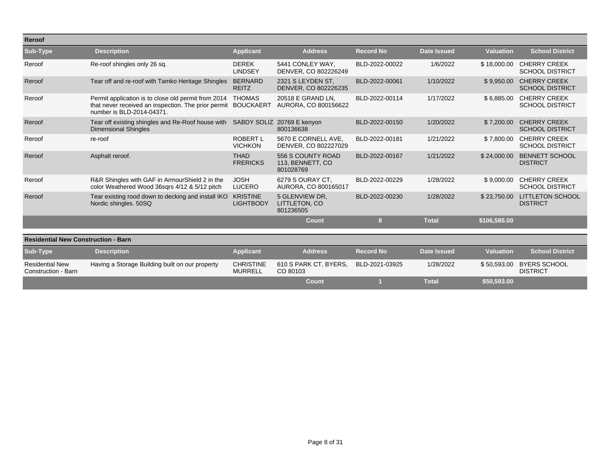| Reroof                                        |                                                                                                                                         |                                     |                                                    |                  |                    |                  |                                                    |
|-----------------------------------------------|-----------------------------------------------------------------------------------------------------------------------------------------|-------------------------------------|----------------------------------------------------|------------------|--------------------|------------------|----------------------------------------------------|
| Sub-Type                                      | <b>Description</b>                                                                                                                      | <b>Applicant</b>                    | <b>Address</b>                                     | <b>Record No</b> | <b>Date Issued</b> | <b>Valuation</b> | <b>School District</b>                             |
| Reroof                                        | Re-roof shingles only 26 sq.                                                                                                            | <b>DEREK</b><br><b>LINDSEY</b>      | 5441 CONLEY WAY.<br>DENVER, CO 802226249           | BLD-2022-00022   | 1/6/2022           |                  | \$18,000.00 CHERRY CREEK<br><b>SCHOOL DISTRICT</b> |
| Reroof                                        | Tear off and re-roof with Tamko Heritage Shingles                                                                                       | <b>BERNARD</b><br><b>REITZ</b>      | 2321 S LEYDEN ST,<br>DENVER, CO 802226235          | BLD-2022-00061   | 1/10/2022          | \$9,950.00       | <b>CHERRY CREEK</b><br><b>SCHOOL DISTRICT</b>      |
| Reroof                                        | Permit application is to close old permit from 2014<br>that never received an inspection. The prior permit<br>number is BLD-2014-04371. | <b>THOMAS</b><br><b>BOUCKAERT</b>   | 20518 E GRAND LN.<br>AURORA, CO 800156622          | BLD-2022-00114   | 1/17/2022          | \$6,885.00       | <b>CHERRY CREEK</b><br><b>SCHOOL DISTRICT</b>      |
| Reroof                                        | Tear off existing shingles and Re-Roof house with<br><b>Dimensional Shingles</b>                                                        |                                     | SABDY SOLIZ 20769 E kenyon<br>800136638            | BLD-2022-00150   | 1/20/2022          | \$7,200.00       | <b>CHERRY CREEK</b><br><b>SCHOOL DISTRICT</b>      |
| Reroof                                        | re-roof                                                                                                                                 | <b>ROBERT L</b><br><b>VICHKON</b>   | 5670 E CORNELL AVE,<br>DENVER, CO 802227029        | BLD-2022-00181   | 1/21/2022          | \$7,800.00       | <b>CHERRY CREEK</b><br><b>SCHOOL DISTRICT</b>      |
| Reroof                                        | Asphalt reroof.                                                                                                                         | <b>THAD</b><br><b>FRERICKS</b>      | 556 S COUNTY ROAD<br>113, BENNETT, CO<br>801028769 | BLD-2022-00167   | 1/21/2022          | \$24,000.00      | <b>BENNETT SCHOOL</b><br><b>DISTRICT</b>           |
| Reroof                                        | R&R Shingles with GAF in ArmourShield 2 in the<br>color Weathered Wood 36sqrs 4/12 & 5/12 pitch                                         | <b>JOSH</b><br><b>LUCERO</b>        | 6279 S OURAY CT.<br>AURORA, CO 800165017           | BLD-2022-00229   | 1/28/2022          | \$9,000.00       | <b>CHERRY CREEK</b><br><b>SCHOOL DISTRICT</b>      |
| Reroof                                        | Tear existing rood down to decking and install IKO<br>Nordic shingles. 50SQ                                                             | <b>KRISTINE</b><br><b>LIGHTBODY</b> | 5 GLENVIEW DR.<br>LITTLETON, CO<br>801236505       | BLD-2022-00230   | 1/28/2022          | \$23,750.00      | <b>LITTLETON SCHOOL</b><br><b>DISTRICT</b>         |
|                                               |                                                                                                                                         |                                     | <b>Count</b>                                       | 8                | <b>Total</b>       | \$106,585.00     |                                                    |
| <b>Residential New Construction - Barn</b>    |                                                                                                                                         |                                     |                                                    |                  |                    |                  |                                                    |
| Sub-Type                                      | <b>Description</b>                                                                                                                      | <b>Applicant</b>                    | <b>Address</b>                                     | <b>Record No</b> | <b>Date Issued</b> | <b>Valuation</b> | <b>School District</b>                             |
| <b>Residential New</b><br>Construction - Barn | Having a Storage Building built on our property                                                                                         | <b>CHRISTINE</b><br><b>MURRELL</b>  | 610 S PARK CT, BYERS,<br>CO 80103                  | BLD-2021-03925   | 1/28/2022          | \$50,593.00      | <b>BYERS SCHOOL</b><br><b>DISTRICT</b>             |
|                                               |                                                                                                                                         |                                     | Count                                              |                  | <b>Total</b>       | \$50,593.00      |                                                    |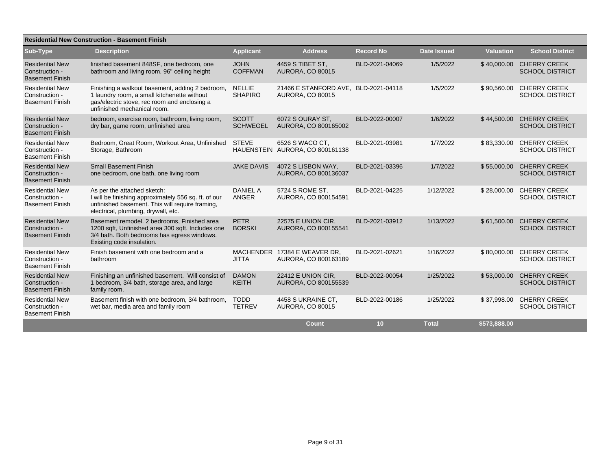| <b>Residential New Construction - Basement Finish</b>              |                                                                                                                                                                               |                                 |                                                                 |                  |                    |                  |                                               |  |  |  |
|--------------------------------------------------------------------|-------------------------------------------------------------------------------------------------------------------------------------------------------------------------------|---------------------------------|-----------------------------------------------------------------|------------------|--------------------|------------------|-----------------------------------------------|--|--|--|
| Sub-Type                                                           | <b>Description</b>                                                                                                                                                            | <b>Applicant</b>                | <b>Address</b>                                                  | <b>Record No</b> | <b>Date Issued</b> | <b>Valuation</b> | <b>School District</b>                        |  |  |  |
| <b>Residential New</b><br>Construction -<br><b>Basement Finish</b> | finished basement 848SF, one bedroom, one<br>bathroom and living room. 96" ceiling height                                                                                     | <b>JOHN</b><br><b>COFFMAN</b>   | 4459 S TIBET ST.<br><b>AURORA, CO 80015</b>                     | BLD-2021-04069   | 1/5/2022           | \$40,000.00      | <b>CHERRY CREEK</b><br><b>SCHOOL DISTRICT</b> |  |  |  |
| <b>Residential New</b><br>Construction -<br><b>Basement Finish</b> | Finishing a walkout basement, adding 2 bedroom,<br>1 laundry room, a small kitchenette without<br>gas/electric stove, rec room and enclosing a<br>unfinished mechanical room. | <b>NELLIE</b><br><b>SHAPIRO</b> | 21466 E STANFORD AVE. BLD-2021-04118<br><b>AURORA, CO 80015</b> |                  | 1/5/2022           | \$90,560.00      | <b>CHERRY CREEK</b><br><b>SCHOOL DISTRICT</b> |  |  |  |
| <b>Residential New</b><br>Construction -<br><b>Basement Finish</b> | bedroom, exercise room, bathroom, living room,<br>dry bar, game room, unfinished area                                                                                         | <b>SCOTT</b><br><b>SCHWEGEL</b> | 6072 S OURAY ST.<br>AURORA, CO 800165002                        | BLD-2022-00007   | 1/6/2022           | \$44,500.00      | <b>CHERRY CREEK</b><br><b>SCHOOL DISTRICT</b> |  |  |  |
| <b>Residential New</b><br>Construction -<br><b>Basement Finish</b> | Bedroom, Great Room, Workout Area, Unfinished<br>Storage, Bathroom                                                                                                            | <b>STEVE</b>                    | 6526 S WACO CT.<br>HAUENSTEIN AURORA, CO 800161138              | BLD-2021-03981   | 1/7/2022           | \$83,330.00      | <b>CHERRY CREEK</b><br><b>SCHOOL DISTRICT</b> |  |  |  |
| <b>Residential New</b><br>Construction -<br><b>Basement Finish</b> | <b>Small Basement Finish</b><br>one bedroom, one bath, one living room                                                                                                        | <b>JAKE DAVIS</b>               | 4072 S LISBON WAY,<br>AURORA, CO 800136037                      | BLD-2021-03396   | 1/7/2022           | \$55,000.00      | <b>CHERRY CREEK</b><br><b>SCHOOL DISTRICT</b> |  |  |  |
| <b>Residential New</b><br>Construction -<br><b>Basement Finish</b> | As per the attached sketch:<br>I will be finishing approximately 556 sq. ft. of our<br>unfinished basement. This will require framing,<br>electrical, plumbing, drywall, etc. | <b>DANIEL A</b><br>ANGER        | 5724 S ROME ST.<br>AURORA, CO 800154591                         | BLD-2021-04225   | 1/12/2022          | \$28,000.00      | <b>CHERRY CREEK</b><br><b>SCHOOL DISTRICT</b> |  |  |  |
| <b>Residential New</b><br>Construction -<br><b>Basement Finish</b> | Basement remodel. 2 bedrooms, Finished area<br>1200 sqft, Unfinished area 300 sqft. Includes one<br>3/4 bath. Both bedrooms has egress windows.<br>Existing code insulation.  | <b>PETR</b><br><b>BORSKI</b>    | 22575 E UNION CIR,<br>AURORA, CO 800155541                      | BLD-2021-03912   | 1/13/2022          | \$61,500.00      | <b>CHERRY CREEK</b><br><b>SCHOOL DISTRICT</b> |  |  |  |
| <b>Residential New</b><br>Construction -<br><b>Basement Finish</b> | Finish basement with one bedroom and a<br>bathroom                                                                                                                            | <b>JITTA</b>                    | MACHENDER 17384 E WEAVER DR.<br>AURORA, CO 800163189            | BLD-2021-02621   | 1/16/2022          | \$80,000.00      | <b>CHERRY CREEK</b><br><b>SCHOOL DISTRICT</b> |  |  |  |
| <b>Residential New</b><br>Construction -<br><b>Basement Finish</b> | Finishing an unfinished basement. Will consist of<br>1 bedroom, 3/4 bath, storage area, and large<br>family room.                                                             | <b>DAMON</b><br><b>KEITH</b>    | 22412 E UNION CIR,<br>AURORA, CO 800155539                      | BLD-2022-00054   | 1/25/2022          | \$53,000.00      | <b>CHERRY CREEK</b><br><b>SCHOOL DISTRICT</b> |  |  |  |
| <b>Residential New</b><br>Construction -<br><b>Basement Finish</b> | Basement finish with one bedroom, 3/4 bathroom,<br>wet bar, media area and family room                                                                                        | <b>TODD</b><br><b>TETREV</b>    | 4458 S UKRAINE CT.<br>AURORA, CO 80015                          | BLD-2022-00186   | 1/25/2022          | \$37,998.00      | <b>CHERRY CREEK</b><br><b>SCHOOL DISTRICT</b> |  |  |  |
|                                                                    |                                                                                                                                                                               |                                 | Count                                                           | 10               | <b>Total</b>       | \$573,888.00     |                                               |  |  |  |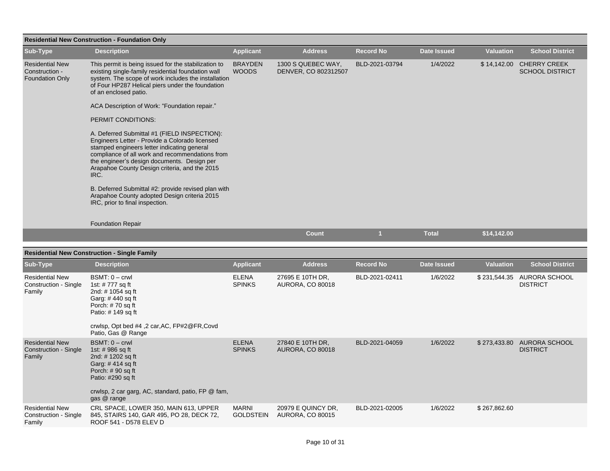| <b>Residential New Construction - Foundation Only</b>              |                                                                                                                                                                                                                                                                                                          |                                  |                                               |                  |                    |                  |                                                    |  |  |  |
|--------------------------------------------------------------------|----------------------------------------------------------------------------------------------------------------------------------------------------------------------------------------------------------------------------------------------------------------------------------------------------------|----------------------------------|-----------------------------------------------|------------------|--------------------|------------------|----------------------------------------------------|--|--|--|
| Sub-Type                                                           | <b>Description</b>                                                                                                                                                                                                                                                                                       | <b>Applicant</b>                 | <b>Address</b>                                | <b>Record No</b> | <b>Date Issued</b> | <b>Valuation</b> | <b>School District</b>                             |  |  |  |
| <b>Residential New</b><br>Construction -<br><b>Foundation Only</b> | This permit is being issued for the stabilization to<br>existing single-family residential foundation wall<br>system. The scope of work includes the installation<br>of Four HP287 Helical piers under the foundation<br>of an enclosed patio.                                                           | <b>BRAYDEN</b><br><b>WOODS</b>   | 1300 S QUEBEC WAY,<br>DENVER, CO 802312507    | BLD-2021-03794   | 1/4/2022           |                  | \$14,142.00 CHERRY CREEK<br><b>SCHOOL DISTRICT</b> |  |  |  |
|                                                                    | ACA Description of Work: "Foundation repair."                                                                                                                                                                                                                                                            |                                  |                                               |                  |                    |                  |                                                    |  |  |  |
|                                                                    | PERMIT CONDITIONS:                                                                                                                                                                                                                                                                                       |                                  |                                               |                  |                    |                  |                                                    |  |  |  |
|                                                                    | A. Deferred Submittal #1 (FIELD INSPECTION):<br>Engineers Letter - Provide a Colorado licensed<br>stamped engineers letter indicating general<br>compliance of all work and recommendations from<br>the engineer's design documents. Design per<br>Arapahoe County Design criteria, and the 2015<br>IRC. |                                  |                                               |                  |                    |                  |                                                    |  |  |  |
|                                                                    | B. Deferred Submittal #2: provide revised plan with<br>Arapahoe County adopted Design criteria 2015<br>IRC, prior to final inspection.                                                                                                                                                                   |                                  |                                               |                  |                    |                  |                                                    |  |  |  |
|                                                                    | <b>Foundation Repair</b>                                                                                                                                                                                                                                                                                 |                                  |                                               |                  |                    |                  |                                                    |  |  |  |
|                                                                    |                                                                                                                                                                                                                                                                                                          |                                  | Count                                         | $\overline{1}$   | <b>Total</b>       | \$14,142.00      |                                                    |  |  |  |
|                                                                    | <b>Residential New Construction - Single Family</b>                                                                                                                                                                                                                                                      |                                  |                                               |                  |                    |                  |                                                    |  |  |  |
| Sub-Type                                                           | <b>Description</b>                                                                                                                                                                                                                                                                                       | <b>Applicant</b>                 | <b>Address</b>                                | <b>Record No</b> | <b>Date Issued</b> | <b>Valuation</b> | <b>School District</b>                             |  |  |  |
| <b>Residential New</b><br>Construction - Single<br>Family          | $BSMT: 0 - crwl$<br>1st: # 777 sq ft<br>2nd: # 1054 sq ft<br>Garg: #440 sq ft<br>Porch: #70 sq ft<br>Patio: #149 sq ft<br>crwlsp, Opt bed #4, 2 car, AC, FP#2@FR, Covd<br>Patio, Gas @ Range                                                                                                             | <b>ELENA</b><br><b>SPINKS</b>    | 27695 E 10TH DR,<br><b>AURORA, CO 80018</b>   | BLD-2021-02411   | 1/6/2022           |                  | \$231,544.35 AURORA SCHOOL<br><b>DISTRICT</b>      |  |  |  |
| <b>Residential New</b><br>Construction - Single<br>Family          | $BSMT: 0 - crwl$<br>1st: #986 sq ft<br>2nd: #1202 sq ft<br>Garg: #414 sq ft<br>Porch: $# 90$ sq ft<br>Patio: #290 sq ft<br>crwlsp, 2 car garg, AC, standard, patio, FP @ fam,<br>gas @ range                                                                                                             | <b>ELENA</b><br><b>SPINKS</b>    | 27840 E 10TH DR,<br><b>AURORA, CO 80018</b>   | BLD-2021-04059   | 1/6/2022           |                  | \$273,433.80 AURORA SCHOOL<br><b>DISTRICT</b>      |  |  |  |
| <b>Residential New</b><br>Construction - Single<br>Family          | CRL SPACE, LOWER 350, MAIN 613, UPPER<br>845, STAIRS 140, GAR 495, PO 28, DECK 72,<br>ROOF 541 - D578 ELEV D                                                                                                                                                                                             | <b>MARNI</b><br><b>GOLDSTEIN</b> | 20979 E QUINCY DR.<br><b>AURORA, CO 80015</b> | BLD-2021-02005   | 1/6/2022           | \$267,862.60     |                                                    |  |  |  |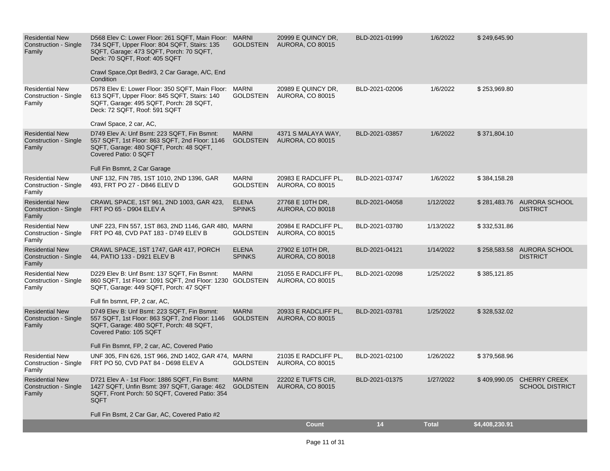| <b>Residential New</b><br><b>Construction - Single</b><br>Family | D568 Elev C: Lower Floor: 261 SQFT, Main Floor: MARNI<br>734 SQFT, Upper Floor: 804 SQFT, Stairs: 135<br>SQFT, Garage: 473 SQFT, Porch: 70 SQFT,<br>Deck: 70 SQFT, Roof: 405 SQFT<br>Crawl Space, Opt Bed#3, 2 Car Garage, A/C, End<br>Condition | <b>GOLDSTEIN</b>                 | 20999 E QUINCY DR,<br>AURORA, CO 80015          | BLD-2021-01999 | 1/6/2022     | \$249,645.90   |                                                     |
|------------------------------------------------------------------|--------------------------------------------------------------------------------------------------------------------------------------------------------------------------------------------------------------------------------------------------|----------------------------------|-------------------------------------------------|----------------|--------------|----------------|-----------------------------------------------------|
| <b>Residential New</b><br>Construction - Single<br>Family        | D578 Elev E: Lower Floor: 350 SQFT, Main Floor: MARNI<br>613 SQFT, Upper Floor: 845 SQFT, Stairs: 140<br>SQFT, Garage: 495 SQFT, Porch: 28 SQFT,<br>Deck: 72 SQFT, Roof: 591 SQFT<br>Crawl Space, 2 car, AC,                                     | <b>GOLDSTEIN</b>                 | 20989 E QUINCY DR.<br><b>AURORA, CO 80015</b>   | BLD-2021-02006 | 1/6/2022     | \$253,969.80   |                                                     |
| <b>Residential New</b><br><b>Construction - Single</b><br>Family | D749 Elev A: Unf Bsmt: 223 SQFT, Fin Bsmnt:<br>557 SQFT, 1st Floor: 863 SQFT, 2nd Floor: 1146<br>SQFT, Garage: 480 SQFT, Porch: 48 SQFT,<br>Covered Patio: 0 SQFT<br>Full Fin Bsmnt, 2 Car Garage                                                | <b>MARNI</b><br><b>GOLDSTEIN</b> | 4371 S MALAYA WAY,<br><b>AURORA, CO 80015</b>   | BLD-2021-03857 | 1/6/2022     | \$371,804.10   |                                                     |
| <b>Residential New</b><br>Construction - Single<br>Family        | UNF 132, FIN 785, 1ST 1010, 2ND 1396, GAR<br>493, FRT PO 27 - D846 ELEV D                                                                                                                                                                        | <b>MARNI</b><br><b>GOLDSTEIN</b> | 20983 E RADCLIFF PL,<br><b>AURORA, CO 80015</b> | BLD-2021-03747 | 1/6/2022     | \$384,158.28   |                                                     |
| <b>Residential New</b><br>Construction - Single<br>Family        | CRAWL SPACE, 1ST 961, 2ND 1003, GAR 423,<br>FRT PO 65 - D904 ELEV A                                                                                                                                                                              | <b>ELENA</b><br><b>SPINKS</b>    | 27768 E 10TH DR,<br><b>AURORA, CO 80018</b>     | BLD-2021-04058 | 1/12/2022    |                | \$281,483.76 AURORA SCHOOL<br><b>DISTRICT</b>       |
| <b>Residential New</b><br>Construction - Single<br>Family        | UNF 223, FIN 557, 1ST 863, 2ND 1146, GAR 480, MARNI<br>FRT PO 48, CVD PAT 183 - D749 ELEV B                                                                                                                                                      | <b>GOLDSTEIN</b>                 | 20984 E RADCLIFF PL,<br><b>AURORA, CO 80015</b> | BLD-2021-03780 | 1/13/2022    | \$332,531.86   |                                                     |
| <b>Residential New</b><br>Construction - Single<br>Family        | CRAWL SPACE, 1ST 1747, GAR 417, PORCH<br>44, PATIO 133 - D921 ELEV B                                                                                                                                                                             | <b>ELENA</b><br><b>SPINKS</b>    | 27902 E 10TH DR.<br>AURORA, CO 80018            | BLD-2021-04121 | 1/14/2022    | \$258,583.58   | AURORA SCHOOL<br><b>DISTRICT</b>                    |
| <b>Residential New</b><br>Construction - Single<br>Family        | D229 Elev B: Unf Bsmt: 137 SQFT, Fin Bsmnt:<br>860 SQFT, 1st Floor: 1091 SQFT, 2nd Floor: 1230 GOLDSTEIN<br>SQFT, Garage: 449 SQFT, Porch: 47 SQFT<br>Full fin bsmnt, FP, 2 car, AC,                                                             | <b>MARNI</b>                     | 21055 E RADCLIFF PL,<br><b>AURORA, CO 80015</b> | BLD-2021-02098 | 1/25/2022    | \$385,121.85   |                                                     |
| <b>Residential New</b><br><b>Construction - Single</b><br>Family | D749 Elev B: Unf Bsmt: 223 SQFT, Fin Bsmnt:<br>557 SQFT, 1st Floor: 863 SQFT, 2nd Floor: 1146<br>SQFT, Garage: 480 SQFT, Porch: 48 SQFT,<br>Covered Patio: 105 SQFT<br>Full Fin Bsmnt, FP, 2 car, AC, Covered Patio                              | <b>MARNI</b><br><b>GOLDSTEIN</b> | 20933 E RADCLIFF PL,<br><b>AURORA, CO 80015</b> | BLD-2021-03781 | 1/25/2022    | \$328,532.02   |                                                     |
| <b>Residential New</b><br>Construction - Single<br>Family        | UNF 305, FIN 626, 1ST 966, 2ND 1402, GAR 474, MARNI<br>FRT PO 50, CVD PAT 84 - D698 ELEV A                                                                                                                                                       | <b>GOLDSTEIN</b>                 | 21035 E RADCLIFF PL,<br><b>AURORA, CO 80015</b> | BLD-2021-02100 | 1/26/2022    | \$379,568.96   |                                                     |
| <b>Residential New</b><br><b>Construction - Single</b><br>Family | D721 Elev A - 1st Floor: 1886 SQFT, Fin Bsmt:<br>1427 SQFT, Unfin Bsmt: 397 SQFT, Garage: 462<br>SQFT, Front Porch: 50 SQFT, Covered Patio: 354<br><b>SQFT</b>                                                                                   | <b>MARNI</b><br><b>GOLDSTEIN</b> | 22202 E TUFTS CIR.<br><b>AURORA, CO 80015</b>   | BLD-2021-01375 | 1/27/2022    |                | \$409,990.05 CHERRY CREEK<br><b>SCHOOL DISTRICT</b> |
|                                                                  | Full Fin Bsmt, 2 Car Gar, AC, Covered Patio #2                                                                                                                                                                                                   |                                  | Count                                           | 14             | <b>Total</b> | \$4,408,230.91 |                                                     |
|                                                                  |                                                                                                                                                                                                                                                  |                                  |                                                 |                |              |                |                                                     |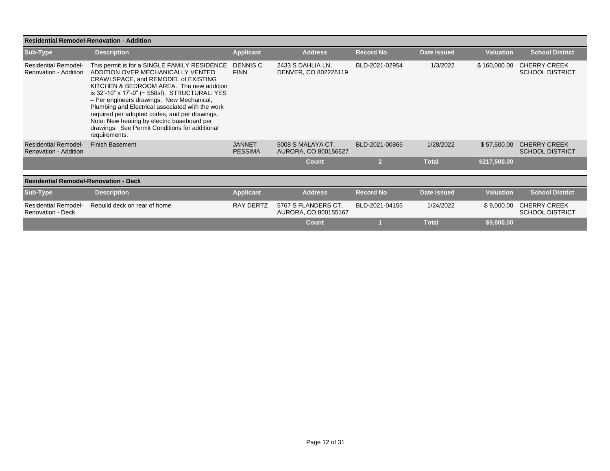|                                                         | <b>Residential Remodel-Renovation - Addition</b>                                                                                                                                                                                                                                                                                                                                                                                                                                           |                                 |                                             |                  |              |                  |                                               |
|---------------------------------------------------------|--------------------------------------------------------------------------------------------------------------------------------------------------------------------------------------------------------------------------------------------------------------------------------------------------------------------------------------------------------------------------------------------------------------------------------------------------------------------------------------------|---------------------------------|---------------------------------------------|------------------|--------------|------------------|-----------------------------------------------|
| Sub-Type                                                | <b>Description</b>                                                                                                                                                                                                                                                                                                                                                                                                                                                                         | <b>Applicant</b>                | <b>Address</b>                              | <b>Record No</b> | Date Issued  | <b>Valuation</b> | <b>School District</b>                        |
| <b>Residential Remodel-</b><br>Renovation - Addition    | This permit is for a SINGLE FAMILY RESIDENCE<br>ADDITION OVER MECHANICALLY VENTED<br>CRAWLSPACE, and REMODEL of EXISTING<br>KITCHEN & BEDROOM AREA. The new addition<br>is 32'-10" x 17'-0" (~ 558sf). STRUCTURAL: YES<br>- Per engineers drawings. New Mechanical,<br>Plumbing and Electrical associated with the work<br>required per adopted codes, and per drawings.<br>Note: New heating by electric baseboard per<br>drawings. See Permit Conditions for additional<br>requirements. | DENNIS C<br><b>FINN</b>         | 2433 S DAHLIA LN,<br>DENVER, CO 802226119   | BLD-2021-02954   | 1/3/2022     | \$160,000.00     | <b>CHERRY CREEK</b><br><b>SCHOOL DISTRICT</b> |
| <b>Residential Remodel-</b><br>Renovation - Addition    | <b>Finish Basement</b>                                                                                                                                                                                                                                                                                                                                                                                                                                                                     | <b>JANNET</b><br><b>PESSIMA</b> | 5008 S MALAYA CT.<br>AURORA, CO 800156627   | BLD-2021-00865   | 1/28/2022    | \$57,500.00      | <b>CHERRY CREEK</b><br><b>SCHOOL DISTRICT</b> |
|                                                         |                                                                                                                                                                                                                                                                                                                                                                                                                                                                                            |                                 | <b>Count</b>                                | $\overline{2}$   | <b>Total</b> | \$217,500.00     |                                               |
| <b>Residential Remodel-Renovation - Deck</b>            |                                                                                                                                                                                                                                                                                                                                                                                                                                                                                            |                                 |                                             |                  |              |                  |                                               |
| Sub-Type                                                | <b>Description</b>                                                                                                                                                                                                                                                                                                                                                                                                                                                                         | <b>Applicant</b>                | <b>Address</b>                              | <b>Record No</b> | Date Issued  | <b>Valuation</b> | <b>School District</b>                        |
| <b>Residential Remodel-</b><br><b>Renovation - Deck</b> | Rebuild deck on rear of home                                                                                                                                                                                                                                                                                                                                                                                                                                                               | <b>RAY DERTZ</b>                | 5767 S FLANDERS CT.<br>AURORA, CO 800155167 | BLD-2021-04155   | 1/24/2022    | \$9,000.00       | <b>CHERRY CREEK</b><br><b>SCHOOL DISTRICT</b> |
|                                                         |                                                                                                                                                                                                                                                                                                                                                                                                                                                                                            |                                 | Count                                       |                  | <b>Total</b> | \$9,000.00       |                                               |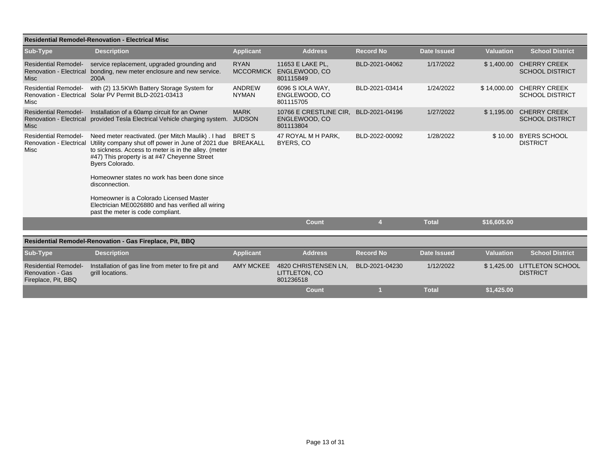|                                                                               | <b>Residential Remodel-Renovation - Electrical Misc</b>                                                                                                                                                                                                                                                                                                                                                                                            |                                 |                                                      |                  |                    |                  |                                                |
|-------------------------------------------------------------------------------|----------------------------------------------------------------------------------------------------------------------------------------------------------------------------------------------------------------------------------------------------------------------------------------------------------------------------------------------------------------------------------------------------------------------------------------------------|---------------------------------|------------------------------------------------------|------------------|--------------------|------------------|------------------------------------------------|
| Sub-Type                                                                      | <b>Description</b>                                                                                                                                                                                                                                                                                                                                                                                                                                 | <b>Applicant</b>                | <b>Address</b>                                       | <b>Record No</b> | <b>Date Issued</b> | <b>Valuation</b> | <b>School District</b>                         |
| <b>Residential Remodel-</b><br><b>Misc</b>                                    | service replacement, upgraded grounding and<br>Renovation - Electrical bonding, new meter enclosure and new service.<br>200A                                                                                                                                                                                                                                                                                                                       | <b>RYAN</b><br><b>MCCORMICK</b> | 11653 E LAKE PL.<br>ENGLEWOOD, CO<br>801115849       | BLD-2021-04062   | 1/17/2022          | \$1,400.00       | <b>CHERRY CREEK</b><br><b>SCHOOL DISTRICT</b>  |
| <b>Residential Remodel-</b><br><b>Renovation - Electrical</b><br>Misc         | with (2) 13.5KWh Battery Storage System for<br>Solar PV Permit BLD-2021-03413                                                                                                                                                                                                                                                                                                                                                                      | ANDREW<br><b>NYMAN</b>          | 6096 S IOLA WAY.<br>ENGLEWOOD, CO<br>801115705       | BLD-2021-03414   | 1/24/2022          | \$14,000.00      | <b>CHERRY CREEK</b><br><b>SCHOOL DISTRICT</b>  |
| <b>Residential Remodel-</b><br><b>Renovation - Electrical</b><br><b>Misc</b>  | Installation of a 60amp circuit for an Owner<br>provided Tesla Electrical Vehicle charging system.                                                                                                                                                                                                                                                                                                                                                 | <b>MARK</b><br><b>JUDSON</b>    | 10766 E CRESTLINE CIR.<br>ENGLEWOOD, CO<br>801113804 | BLD-2021-04196   | 1/27/2022          | \$1,195.00       | <b>CHERRY CREEK</b><br><b>SCHOOL DISTRICT</b>  |
| <b>Residential Remodel-</b><br><b>Renovation - Electrical</b><br>Misc         | Need meter reactivated. (per Mitch Maulik). I had<br>Utility company shut off power in June of 2021 due BREAKALL<br>to sickness. Access to meter is in the alley. (meter<br>#47) This property is at #47 Cheyenne Street<br>Byers Colorado.<br>Homeowner states no work has been done since<br>disconnection.<br>Homeowner is a Colorado Licensed Master<br>Electrician ME0026880 and has verified all wiring<br>past the meter is code compliant. | <b>BRET S</b>                   | 47 ROYAL M H PARK,<br>BYERS, CO                      | BLD-2022-00092   | 1/28/2022          |                  | \$10.00 BYERS SCHOOL<br><b>DISTRICT</b>        |
|                                                                               |                                                                                                                                                                                                                                                                                                                                                                                                                                                    |                                 | <b>Count</b>                                         | $\overline{4}$   | <b>Total</b>       | \$16,605.00      |                                                |
|                                                                               | Residential Remodel-Renovation - Gas Fireplace, Pit, BBQ                                                                                                                                                                                                                                                                                                                                                                                           |                                 |                                                      |                  |                    |                  |                                                |
|                                                                               |                                                                                                                                                                                                                                                                                                                                                                                                                                                    |                                 |                                                      |                  |                    |                  |                                                |
| Sub-Type                                                                      | <b>Description</b>                                                                                                                                                                                                                                                                                                                                                                                                                                 | <b>Applicant</b>                | <b>Address</b>                                       | <b>Record No</b> | <b>Date Issued</b> | <b>Valuation</b> | <b>School District</b>                         |
| <b>Residential Remodel-</b><br><b>Renovation - Gas</b><br>Fireplace, Pit, BBQ | Installation of gas line from meter to fire pit and<br>grill locations.                                                                                                                                                                                                                                                                                                                                                                            | <b>AMY MCKEE</b>                | 4820 CHRISTENSEN LN.<br>LITTLETON, CO<br>801236518   | BLD-2021-04230   | 1/12/2022          |                  | \$1,425.00 LITTLETON SCHOOL<br><b>DISTRICT</b> |
|                                                                               |                                                                                                                                                                                                                                                                                                                                                                                                                                                    |                                 | Count                                                |                  | <b>Total</b>       | \$1.425.00       |                                                |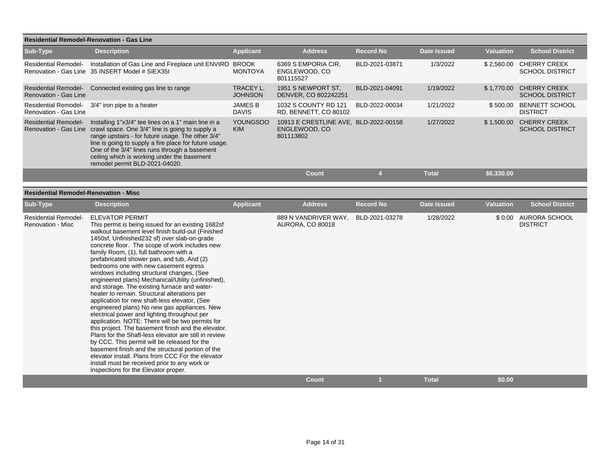|                                                         | <b>Residential Remodel-Renovation - Gas Line</b>                                                                                                                                                                                                                                                                                                                                                                                                                                                                                                                                                                                                                                                                                                                                                                                                                                                                                                                                                                                                                                                                                                 |                                |                                                                     |                     |                           |                  |                                                   |
|---------------------------------------------------------|--------------------------------------------------------------------------------------------------------------------------------------------------------------------------------------------------------------------------------------------------------------------------------------------------------------------------------------------------------------------------------------------------------------------------------------------------------------------------------------------------------------------------------------------------------------------------------------------------------------------------------------------------------------------------------------------------------------------------------------------------------------------------------------------------------------------------------------------------------------------------------------------------------------------------------------------------------------------------------------------------------------------------------------------------------------------------------------------------------------------------------------------------|--------------------------------|---------------------------------------------------------------------|---------------------|---------------------------|------------------|---------------------------------------------------|
| Sub-Type                                                | <b>Description</b>                                                                                                                                                                                                                                                                                                                                                                                                                                                                                                                                                                                                                                                                                                                                                                                                                                                                                                                                                                                                                                                                                                                               | <b>Applicant</b>               | <b>Address</b>                                                      | <b>Record No</b>    | <b>Date Issued</b>        | <b>Valuation</b> | <b>School District</b>                            |
| <b>Residential Remodel-</b>                             | Installation of Gas Line and Fireplace unit ENVIRO BROOK<br>Renovation - Gas Line 35 INSERT Model # SIEX35I                                                                                                                                                                                                                                                                                                                                                                                                                                                                                                                                                                                                                                                                                                                                                                                                                                                                                                                                                                                                                                      | <b>MONTOYA</b>                 | 6369 S EMPORIA CIR,<br>ENGLEWOOD, CO<br>801115527                   | BLD-2021-03871      | 1/3/2022                  |                  | \$2,560.00 CHERRY CREEK<br><b>SCHOOL DISTRICT</b> |
| <b>Renovation - Gas Line</b>                            | Residential Remodel- Connected existing gas line to range                                                                                                                                                                                                                                                                                                                                                                                                                                                                                                                                                                                                                                                                                                                                                                                                                                                                                                                                                                                                                                                                                        | TRACEY L.<br><b>JOHNSON</b>    | 1951 S NEWPORT ST,<br>DENVER, CO 802242251                          | BLD-2021-04091      | 1/19/2022                 |                  | \$1,770.00 CHERRY CREEK<br><b>SCHOOL DISTRICT</b> |
| <b>Renovation - Gas Line</b>                            | Residential Remodel- 3/4" iron pipe to a heater                                                                                                                                                                                                                                                                                                                                                                                                                                                                                                                                                                                                                                                                                                                                                                                                                                                                                                                                                                                                                                                                                                  | <b>JAMES B</b><br><b>DAVIS</b> | 1032 S COUNTY RD 121<br>RD, BENNETT, CO 80102                       | BLD-2022-00034      | 1/21/2022                 |                  | \$500.00 BENNETT SCHOOL<br><b>DISTRICT</b>        |
| <b>Residential Remodel-</b>                             | Installing 1"x3/4" tee lines on a 1" main line in a<br>Renovation - Gas Line crawl space. One 3/4" line is going to supply a<br>range upstairs - for future usage. The other 3/4"<br>line is going to supply a fire place for future usage.<br>One of the 3/4" lines runs through a basement<br>ceiling which is working under the basement<br>remodel permit BLD-2021-04020.                                                                                                                                                                                                                                                                                                                                                                                                                                                                                                                                                                                                                                                                                                                                                                    | <b>YOUNGSOO</b><br><b>KIM</b>  | 10913 E CRESTLINE AVE, BLD-2022-00158<br>ENGLEWOOD, CO<br>801113802 |                     | 1/27/2022                 |                  | \$1,500.00 CHERRY CREEK<br><b>SCHOOL DISTRICT</b> |
|                                                         |                                                                                                                                                                                                                                                                                                                                                                                                                                                                                                                                                                                                                                                                                                                                                                                                                                                                                                                                                                                                                                                                                                                                                  |                                | <b>Count</b>                                                        | $\overline{4}$      | <b>Total</b>              | \$6,330.00       |                                                   |
| <b>Residential Remodel-Renovation - Misc</b>            |                                                                                                                                                                                                                                                                                                                                                                                                                                                                                                                                                                                                                                                                                                                                                                                                                                                                                                                                                                                                                                                                                                                                                  |                                |                                                                     |                     |                           |                  |                                                   |
| Sub-Type                                                | <b>Description</b>                                                                                                                                                                                                                                                                                                                                                                                                                                                                                                                                                                                                                                                                                                                                                                                                                                                                                                                                                                                                                                                                                                                               | <b>Applicant</b>               | <b>Address</b>                                                      | <b>Record No</b>    | <b>Date Issued</b>        | <b>Valuation</b> | <b>School District</b>                            |
| <b>Residential Remodel-</b><br><b>Renovation - Misc</b> | <b>ELEVATOR PERMIT</b><br>This permit is being issued for an existing 1682sf<br>walkout basement level finish build-out (Finished<br>1450sf, Unfinished232 sf) over slab-on-grade<br>concrete floor. The scope of work includes new<br>family Room, (1), full bathroom with a<br>prefabricated shower pan, and tub, And (2)<br>bedrooms one with new casement egress<br>windows including structural changes, (See<br>engineered plans) Mechanical/Utility (unfinished),<br>and storage. The existing furnace and water-<br>heater to remain. Structural alterations per<br>application for new shaft-less elevator, (See<br>engineered plans) No new gas appliances. New<br>electrical power and lighting throughout per<br>application. NOTE: There will be two permits for<br>this project. The basement finish and the elevator.<br>Plans for the Shaft-less elevator are still in review<br>by CCC. This permit will be released for the<br>basement finish and the structural portion of the<br>elevator install. Plans from CCC For the elevator<br>install must be received prior to any work or<br>inspections for the Elevator proper. |                                | 889 N VANDRIVER WAY,<br><b>AURORA, CO 80018</b><br><b>Count</b>     | BLD-2021-03278<br>1 | 1/28/2022<br><b>Total</b> | \$0.00           | \$0.00 AURORA SCHOOL<br><b>DISTRICT</b>           |
|                                                         |                                                                                                                                                                                                                                                                                                                                                                                                                                                                                                                                                                                                                                                                                                                                                                                                                                                                                                                                                                                                                                                                                                                                                  |                                |                                                                     |                     |                           |                  |                                                   |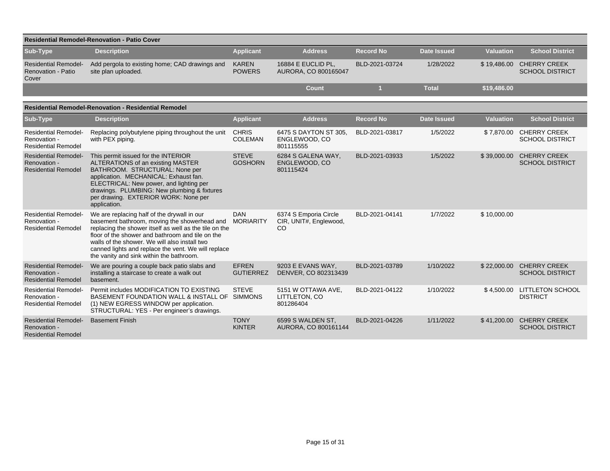| <b>Residential Remodel-Renovation - Patio Cover</b>                       |                                                                                                                                                                                                                                                                                                                                                               |                                  |                                                                  |                  |                    |                  |                                               |  |  |  |  |  |
|---------------------------------------------------------------------------|---------------------------------------------------------------------------------------------------------------------------------------------------------------------------------------------------------------------------------------------------------------------------------------------------------------------------------------------------------------|----------------------------------|------------------------------------------------------------------|------------------|--------------------|------------------|-----------------------------------------------|--|--|--|--|--|
| <b>Sub-Type</b>                                                           | <b>Description</b>                                                                                                                                                                                                                                                                                                                                            | <b>Applicant</b>                 | <b>Address</b>                                                   | <b>Record No</b> | <b>Date Issued</b> | <b>Valuation</b> | <b>School District</b>                        |  |  |  |  |  |
| <b>Residential Remodel-</b><br><b>Renovation - Patio</b><br>Cover         | Add pergola to existing home; CAD drawings and<br>site plan uploaded.                                                                                                                                                                                                                                                                                         | <b>KAREN</b><br><b>POWERS</b>    | 16884 E EUCLID PL,<br>AURORA, CO 800165047                       | BLD-2021-03724   | 1/28/2022          | \$19,486.00      | <b>CHERRY CREEK</b><br><b>SCHOOL DISTRICT</b> |  |  |  |  |  |
|                                                                           |                                                                                                                                                                                                                                                                                                                                                               |                                  | <b>Count</b>                                                     |                  | <b>Total</b>       | \$19,486.00      |                                               |  |  |  |  |  |
| <b>Residential Remodel-Renovation - Residential Remodel</b>               |                                                                                                                                                                                                                                                                                                                                                               |                                  |                                                                  |                  |                    |                  |                                               |  |  |  |  |  |
| Sub-Type                                                                  | <b>Description</b>                                                                                                                                                                                                                                                                                                                                            | <b>Applicant</b>                 | <b>Address</b>                                                   | <b>Record No</b> | <b>Date Issued</b> | <b>Valuation</b> | <b>School District</b>                        |  |  |  |  |  |
| <b>Residential Remodel-</b><br>Renovation -<br><b>Residential Remodel</b> | Replacing polybutylene piping throughout the unit<br>with PEX piping.                                                                                                                                                                                                                                                                                         | <b>CHRIS</b><br><b>COLEMAN</b>   | 6475 S DAYTON ST 305,<br>ENGLEWOOD, CO<br>801115555              | BLD-2021-03817   | 1/5/2022           | \$7,870.00       | <b>CHERRY CREEK</b><br><b>SCHOOL DISTRICT</b> |  |  |  |  |  |
| <b>Residential Remodel-</b><br>Renovation -<br><b>Residential Remodel</b> | This permit issued for the INTERIOR<br>ALTERATIONS of an existing MASTER<br>BATHROOM. STRUCTURAL: None per<br>application. MECHANICAL: Exhaust fan.<br>ELECTRICAL: New power, and lighting per<br>drawings. PLUMBING: New plumbing & fixtures<br>per drawing. EXTERIOR WORK: None per<br>application.                                                         | <b>STEVE</b><br><b>GOSHORN</b>   | 6284 S GALENA WAY,<br>ENGLEWOOD, CO<br>801115424                 | BLD-2021-03933   | 1/5/2022           | \$39,000.00      | <b>CHERRY CREEK</b><br><b>SCHOOL DISTRICT</b> |  |  |  |  |  |
| <b>Residential Remodel-</b><br>Renovation -<br><b>Residential Remodel</b> | We are replacing half of the drywall in our<br>basement bathroom, moving the showerhead and<br>replacing the shower itself as well as the tile on the<br>floor of the shower and bathroom and tile on the<br>walls of the shower. We will also install two<br>canned lights and replace the vent. We will replace<br>the vanity and sink within the bathroom. | <b>DAN</b><br><b>MORIARITY</b>   | 6374 S Emporia Circle<br>CIR, UNIT#, Englewood,<br><sub>CO</sub> | BLD-2021-04141   | 1/7/2022           | \$10,000.00      |                                               |  |  |  |  |  |
| <b>Residential Remodel-</b><br>Renovation -<br><b>Residential Remodel</b> | We are pouring a couple back patio slabs and<br>installing a staircase to create a walk out<br>basement.                                                                                                                                                                                                                                                      | <b>EFREN</b><br><b>GUTIERREZ</b> | 9203 E EVANS WAY,<br>DENVER, CO 802313439                        | BLD-2021-03789   | 1/10/2022          | \$22,000.00      | <b>CHERRY CREEK</b><br><b>SCHOOL DISTRICT</b> |  |  |  |  |  |
| <b>Residential Remodel-</b><br>Renovation -<br><b>Residential Remodel</b> | Permit includes MODIFICATION TO EXISTING<br>BASEMENT FOUNDATION WALL & INSTALL OF SIMMONS<br>(1) NEW EGRESS WINDOW per application.<br>STRUCTURAL: YES - Per engineer's drawings.                                                                                                                                                                             | <b>STEVE</b>                     | 5151 W OTTAWA AVE,<br>LITTLETON, CO<br>801286404                 | BLD-2021-04122   | 1/10/2022          | \$4,500.00       | <b>LITTLETON SCHOOL</b><br><b>DISTRICT</b>    |  |  |  |  |  |
| <b>Residential Remodel-</b><br>Renovation -<br><b>Residential Remodel</b> | <b>Basement Finish</b>                                                                                                                                                                                                                                                                                                                                        | <b>TONY</b><br><b>KINTER</b>     | 6599 S WALDEN ST.<br>AURORA, CO 800161144                        | BLD-2021-04226   | 1/11/2022          | \$41,200.00      | <b>CHERRY CREEK</b><br><b>SCHOOL DISTRICT</b> |  |  |  |  |  |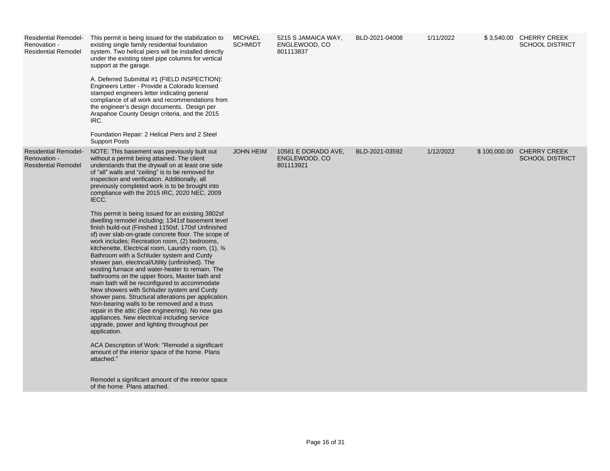| <b>Residential Remodel-</b><br>Renovation -<br><b>Residential Remodel</b> | This permit is being issued for the stabilization to<br>existing single family residential foundation<br>system. Two helical piers will be installed directly<br>under the existing steel pipe columns for vertical<br>support at the garage.<br>A. Deferred Submittal #1 (FIELD INSPECTION):<br>Engineers Letter - Provide a Colorado licensed<br>stamped engineers letter indicating general<br>compliance of all work and recommendations from<br>the engineer's design documents. Design per<br>Arapahoe County Design criteria, and the 2015<br>IRC.<br>Foundation Repair: 2 Helical Piers and 2 Steel<br><b>Support Posts</b>                                                                                                                                                                                                                                                                                                                                                                                                                                                                                                                                                                                                                                                                                                                                                                                                                                                             | MICHAEL<br><b>SCHMIDT</b> | 5215 S JAMAICA WAY,<br>ENGLEWOOD, CO<br>801113837 | BLD-2021-04008 | 1/11/2022 | \$3,540.00 CHERRY CREEK<br><b>SCHOOL DISTRICT</b>   |
|---------------------------------------------------------------------------|-------------------------------------------------------------------------------------------------------------------------------------------------------------------------------------------------------------------------------------------------------------------------------------------------------------------------------------------------------------------------------------------------------------------------------------------------------------------------------------------------------------------------------------------------------------------------------------------------------------------------------------------------------------------------------------------------------------------------------------------------------------------------------------------------------------------------------------------------------------------------------------------------------------------------------------------------------------------------------------------------------------------------------------------------------------------------------------------------------------------------------------------------------------------------------------------------------------------------------------------------------------------------------------------------------------------------------------------------------------------------------------------------------------------------------------------------------------------------------------------------|---------------------------|---------------------------------------------------|----------------|-----------|-----------------------------------------------------|
| <b>Residential Remodel-</b><br>Renovation -<br><b>Residential Remodel</b> | NOTE: This basement was previously built out<br>without a permit being attained. The client<br>understands that the drywall on at least one side<br>of "all" walls and "ceiling" is to be removed for<br>inspection and verification. Additionally, all<br>previously completed work is to be brought into<br>compliance with the 2015 IRC, 2020 NEC, 2009<br>IECC.<br>This permit is being issued for an existing 3802sf<br>dwelling remodel including; 1341sf basement level<br>finish build-out (Finished 1150sf, 170sf Unfinished<br>sf) over slab-on-grade concrete floor. The scope of<br>work includes; Recreation room, (2) bedrooms,<br>kitchenette, Electrical room, Laundry room, (1), 3/4<br>Bathroom with a Schluder system and Curdy<br>shower pan, electrical/Utility (unfinished). The<br>existing furnace and water-heater to remain. The<br>bathrooms on the upper floors, Master bath and<br>main bath will be reconfigured to accommodate<br>New showers with Schluder system and Curdy<br>shower pans. Structural alterations per application.<br>Non-bearing walls to be removed and a truss<br>repair in the attic (See engineering). No new gas<br>appliances. New electrical including service<br>upgrade, power and lighting throughout per<br>application.<br>ACA Description of Work: "Remodel a significant<br>amount of the interior space of the home. Plans<br>attached."<br>Remodel a significant amount of the interior space<br>of the home. Plans attached. | <b>JOHN HEIM</b>          | 10581 E DORADO AVE,<br>ENGLEWOOD, CO<br>801113921 | BLD-2021-03592 | 1/12/2022 | \$100,000.00 CHERRY CREEK<br><b>SCHOOL DISTRICT</b> |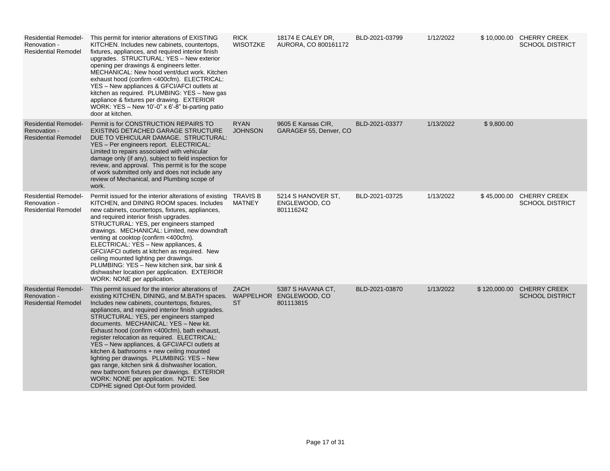| <b>Residential Remodel-</b><br>Renovation -<br><b>Residential Remodel</b> | This permit for interior alterations of EXISTING<br>KITCHEN. Includes new cabinets, countertops,<br>fixtures, appliances, and required interior finish<br>upgrades. STRUCTURAL: YES - New exterior<br>opening per drawings & engineers letter.<br>MECHANICAL: New hood vent/duct work. Kitchen<br>exhaust hood (confirm <400cfm). ELECTRICAL:<br>YES - New appliances & GFCI/AFCI outlets at<br>kitchen as required. PLUMBING: YES - New gas<br>appliance & fixtures per drawing. EXTERIOR<br>WORK: YES - New 10'-0" x 6'-8" bi-parting patio<br>door at kitchen.                                                                                                                                                          | <b>RICK</b><br><b>WISOTZKE</b> | 18174 E CALEY DR.<br>AURORA, CO 800161172                 | BLD-2021-03799 | 1/12/2022 |              | \$10,000.00 CHERRY CREEK<br><b>SCHOOL DISTRICT</b> |
|---------------------------------------------------------------------------|----------------------------------------------------------------------------------------------------------------------------------------------------------------------------------------------------------------------------------------------------------------------------------------------------------------------------------------------------------------------------------------------------------------------------------------------------------------------------------------------------------------------------------------------------------------------------------------------------------------------------------------------------------------------------------------------------------------------------|--------------------------------|-----------------------------------------------------------|----------------|-----------|--------------|----------------------------------------------------|
| <b>Residential Remodel-</b><br>Renovation -<br><b>Residential Remodel</b> | Permit is for CONSTRUCTION REPAIRS TO<br>EXISTING DETACHED GARAGE STRUCTURE<br>DUE TO VEHICULAR DAMAGE. STRUCTURAL:<br>YES - Per engineers report. ELECTRICAL:<br>Limited to repairs associated with vehicular<br>damage only (if any), subject to field inspection for<br>review, and approval. This permit is for the scope<br>of work submitted only and does not include any<br>review of Mechanical, and Plumbing scope of<br>work.                                                                                                                                                                                                                                                                                   | <b>RYAN</b><br><b>JOHNSON</b>  | 9605 E Kansas CIR,<br>GARAGE# 55, Denver, CO              | BLD-2021-03377 | 1/13/2022 | \$9,800.00   |                                                    |
| <b>Residential Remodel-</b><br>Renovation -<br><b>Residential Remodel</b> | Permit issued for the interior alterations of existing TRAVIS B<br>KITCHEN, and DINING ROOM spaces. Includes<br>new cabinets, countertops, fixtures, appliances,<br>and required interior finish upgrades.<br>STRUCTURAL: YES, per engineers stamped<br>drawings. MECHANICAL: Limited, new downdraft<br>venting at cooktop (confirm <400cfm).<br>ELECTRICAL: YES - New appliances, &<br>GFCI/AFCI outlets at kitchen as required. New<br>ceiling mounted lighting per drawings.<br>PLUMBING: YES - New kitchen sink, bar sink &<br>dishwasher location per application. EXTERIOR<br>WORK: NONE per application.                                                                                                            | <b>MATNEY</b>                  | 5214 S HANOVER ST,<br>ENGLEWOOD, CO<br>801116242          | BLD-2021-03725 | 1/13/2022 | \$45,000.00  | <b>CHERRY CREEK</b><br><b>SCHOOL DISTRICT</b>      |
| <b>Residential Remodel-</b><br>Renovation -<br><b>Residential Remodel</b> | This permit issued for the interior alterations of<br>existing KITCHEN, DINING, and M.BATH spaces.<br>Includes new cabinets, countertops, fixtures,<br>appliances, and required interior finish upgrades.<br>STRUCTURAL: YES, per engineers stamped<br>documents. MECHANICAL: YES - New kit.<br>Exhaust hood (confirm <400cfm), bath exhaust,<br>register relocation as required. ELECTRICAL:<br>YES - New appliances, & GFCI/AFCI outlets at<br>kitchen & bathrooms + new ceiling mounted<br>lighting per drawings. PLUMBING: YES - New<br>gas range, kitchen sink & dishwasher location,<br>new bathroom fixtures per drawings. EXTERIOR<br>WORK: NONE per application. NOTE: See<br>CDPHE signed Opt-Out form provided. | ZACH<br><b>ST</b>              | 5387 S HAVANA CT,<br>WAPPELHOR ENGLEWOOD, CO<br>801113815 | BLD-2021-03870 | 1/13/2022 | \$120,000.00 | <b>CHERRY CREEK</b><br><b>SCHOOL DISTRICT</b>      |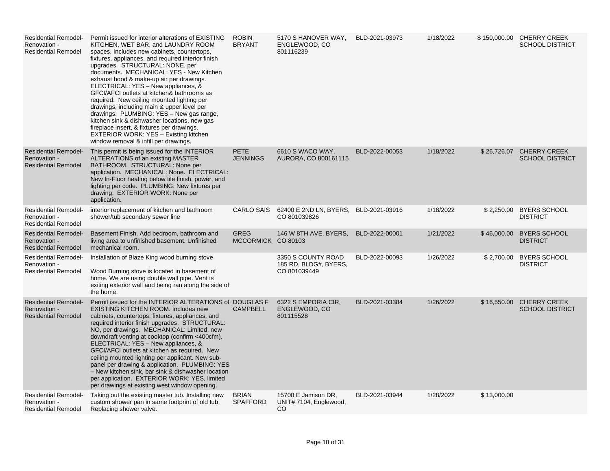| <b>Residential Remodel-</b><br>Renovation -<br><b>Residential Remodel</b> | Permit issued for interior alterations of EXISTING<br>KITCHEN, WET BAR, and LAUNDRY ROOM<br>spaces. Includes new cabinets, countertops,<br>fixtures, appliances, and required interior finish<br>upgrades. STRUCTURAL: NONE, per<br>documents. MECHANICAL: YES - New Kitchen<br>exhaust hood & make-up air per drawings.<br>ELECTRICAL: YES - New appliances, &<br>GFCI/AFCI outlets at kitchen& bathrooms as<br>required. New ceiling mounted lighting per<br>drawings, including main & upper level per<br>drawings. PLUMBING: YES - New gas range,<br>kitchen sink & dishwasher locations, new gas<br>fireplace insert, & fixtures per drawings.<br>EXTERIOR WORK: YES - Existing kitchen<br>window removal & infill per drawings. | <b>ROBIN</b><br><b>BRYANT</b>     | 5170 S HANOVER WAY,<br>ENGLEWOOD, CO<br>801116239           | BLD-2021-03973 | 1/18/2022 |             | \$150,000.00 CHERRY CREEK<br><b>SCHOOL DISTRICT</b> |
|---------------------------------------------------------------------------|---------------------------------------------------------------------------------------------------------------------------------------------------------------------------------------------------------------------------------------------------------------------------------------------------------------------------------------------------------------------------------------------------------------------------------------------------------------------------------------------------------------------------------------------------------------------------------------------------------------------------------------------------------------------------------------------------------------------------------------|-----------------------------------|-------------------------------------------------------------|----------------|-----------|-------------|-----------------------------------------------------|
| <b>Residential Remodel-</b><br>Renovation -<br><b>Residential Remodel</b> | This permit is being issued for the INTERIOR<br>ALTERATIONS of an existing MASTER<br>BATHROOM. STRUCTURAL: None per<br>application. MECHANICAL: None. ELECTRICAL:<br>New In-Floor heating below tile finish, power, and<br>lighting per code. PLUMBING: New fixtures per<br>drawing. EXTERIOR WORK: None per<br>application.                                                                                                                                                                                                                                                                                                                                                                                                          | <b>PETE</b><br><b>JENNINGS</b>    | 6610 S WACO WAY,<br>AURORA, CO 800161115                    | BLD-2022-00053 | 1/18/2022 |             | \$26,726.07 CHERRY CREEK<br><b>SCHOOL DISTRICT</b>  |
| <b>Residential Remodel-</b><br>Renovation -<br><b>Residential Remodel</b> | interior replacement of kitchen and bathroom<br>shower/tub secondary sewer line                                                                                                                                                                                                                                                                                                                                                                                                                                                                                                                                                                                                                                                       | <b>CARLO SAIS</b>                 | 62400 E 2ND LN, BYERS,<br>CO 801039826                      | BLD-2021-03916 | 1/18/2022 |             | \$2,250.00 BYERS SCHOOL<br><b>DISTRICT</b>          |
| <b>Residential Remodel-</b><br>Renovation -<br><b>Residential Remodel</b> | Basement Finish. Add bedroom, bathroom and<br>living area to unfinished basement. Unfinished<br>mechanical room.                                                                                                                                                                                                                                                                                                                                                                                                                                                                                                                                                                                                                      | <b>GREG</b><br>MCCORMICK CO 80103 | 146 W 8TH AVE, BYERS,                                       | BLD-2022-00001 | 1/21/2022 | \$46,000.00 | <b>BYERS SCHOOL</b><br><b>DISTRICT</b>              |
| <b>Residential Remodel-</b><br>Renovation -<br><b>Residential Remodel</b> | Installation of Blaze King wood burning stove<br>Wood Burning stove is located in basement of<br>home. We are using double wall pipe. Vent is<br>exiting exterior wall and being ran along the side of<br>the home.                                                                                                                                                                                                                                                                                                                                                                                                                                                                                                                   |                                   | 3350 S COUNTY ROAD<br>185 RD, BLDG#, BYERS,<br>CO 801039449 | BLD-2022-00093 | 1/26/2022 | \$2,700.00  | <b>BYERS SCHOOL</b><br><b>DISTRICT</b>              |
| <b>Residential Remodel-</b><br>Renovation -<br><b>Residential Remodel</b> | Permit issued for the INTERIOR ALTERATIONS of DOUGLAS F<br><b>EXISTING KITCHEN ROOM. Includes new</b><br>cabinets, countertops, fixtures, appliances, and<br>required interior finish upgrades. STRUCTURAL:<br>NO, per drawings. MECHANICAL: Limited, new<br>downdraft venting at cooktop (confirm <400cfm).<br>ELECTRICAL: YES - New appliances, &<br>GFCI/AFCI outlets at kitchen as required. New<br>ceiling mounted lighting per applicant. New sub-<br>panel per drawing & application. PLUMBING: YES<br>- New kitchen sink, bar sink & dishwasher location<br>per application. EXTERIOR WORK: YES, limited<br>per drawings at existing west window opening.                                                                     | <b>CAMPBELL</b>                   | 6322 S EMPORIA CIR,<br>ENGLEWOOD, CO<br>801115528           | BLD-2021-03384 | 1/26/2022 |             | \$16,550.00 CHERRY CREEK<br><b>SCHOOL DISTRICT</b>  |
| <b>Residential Remodel-</b><br>Renovation -<br><b>Residential Remodel</b> | Taking out the existing master tub. Installing new<br>custom shower pan in same footprint of old tub.<br>Replacing shower valve.                                                                                                                                                                                                                                                                                                                                                                                                                                                                                                                                                                                                      | <b>BRIAN</b><br><b>SPAFFORD</b>   | 15700 E Jamison DR,<br>UNIT# 7104, Englewood,<br>CO         | BLD-2021-03944 | 1/28/2022 | \$13,000.00 |                                                     |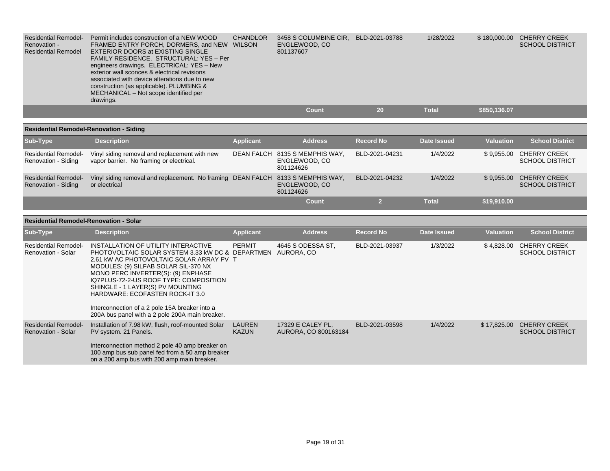| <b>Residential Remodel-</b><br>Renovation -<br><b>Residential Remodel</b> | Permit includes construction of a NEW WOOD<br>FRAMED ENTRY PORCH, DORMERS, and NEW WILSON<br><b>EXTERIOR DOORS at EXISTING SINGLE</b><br>FAMILY RESIDENCE. STRUCTURAL: YES - Per<br>engineers drawings. ELECTRICAL: YES - New<br>exterior wall sconces & electrical revisions<br>associated with device alterations due to new<br>construction (as applicable). PLUMBING &<br>MECHANICAL - Not scope identified per<br>drawings.                          | <b>CHANDLOR</b>               | 3458 S COLUMBINE CIR, BLD-2021-03788<br>ENGLEWOOD, CO<br>801137607 |                  | 1/28/2022          |                  | \$180,000.00 CHERRY CREEK<br><b>SCHOOL DISTRICT</b> |
|---------------------------------------------------------------------------|-----------------------------------------------------------------------------------------------------------------------------------------------------------------------------------------------------------------------------------------------------------------------------------------------------------------------------------------------------------------------------------------------------------------------------------------------------------|-------------------------------|--------------------------------------------------------------------|------------------|--------------------|------------------|-----------------------------------------------------|
|                                                                           |                                                                                                                                                                                                                                                                                                                                                                                                                                                           |                               | <b>Count</b>                                                       | 20               | <b>Total</b>       | \$850,136.07     |                                                     |
| <b>Residential Remodel-Renovation - Siding</b>                            |                                                                                                                                                                                                                                                                                                                                                                                                                                                           |                               |                                                                    |                  |                    |                  |                                                     |
| Sub-Type                                                                  | <b>Description</b>                                                                                                                                                                                                                                                                                                                                                                                                                                        | <b>Applicant</b>              | <b>Address</b>                                                     | <b>Record No</b> | <b>Date Issued</b> | <b>Valuation</b> | <b>School District</b>                              |
| <b>Residential Remodel-</b><br>Renovation - Siding                        | Vinyl siding removal and replacement with new<br>vapor barrier. No framing or electrical.                                                                                                                                                                                                                                                                                                                                                                 |                               | DEAN FALCH 8135 S MEMPHIS WAY,<br>ENGLEWOOD, CO<br>801124626       | BLD-2021-04231   | 1/4/2022           |                  | \$9,955.00 CHERRY CREEK<br><b>SCHOOL DISTRICT</b>   |
| <b>Residential Remodel-</b><br>Renovation - Siding                        | Vinyl siding removal and replacement. No framing DEAN FALCH 8133 S MEMPHIS WAY,<br>or electrical                                                                                                                                                                                                                                                                                                                                                          |                               | ENGLEWOOD, CO<br>801124626                                         | BLD-2021-04232   | 1/4/2022           |                  | \$9,955.00 CHERRY CREEK<br><b>SCHOOL DISTRICT</b>   |
|                                                                           |                                                                                                                                                                                                                                                                                                                                                                                                                                                           |                               | Count                                                              | $\overline{2}$   | <b>Total</b>       | \$19,910.00      |                                                     |
| <b>Residential Remodel-Renovation - Solar</b>                             |                                                                                                                                                                                                                                                                                                                                                                                                                                                           |                               |                                                                    |                  |                    |                  |                                                     |
| Sub-Type                                                                  | <b>Description</b>                                                                                                                                                                                                                                                                                                                                                                                                                                        | <b>Applicant</b>              | <b>Address</b>                                                     | <b>Record No</b> | <b>Date Issued</b> | <b>Valuation</b> | <b>School District</b>                              |
| <b>Residential Remodel-</b><br><b>Renovation - Solar</b>                  | INSTALLATION OF UTILITY INTERACTIVE<br>PHOTOVOLTAIC SOLAR SYSTEM 3.33 kW DC & DEPARTMEN AURORA, CO<br>2.61 kW AC PHOTOVOLTAIC SOLAR ARRAY PV T<br>MODULES: (9) SILFAB SOLAR SIL-370 NX<br>MONO PERC INVERTER(S): (9) ENPHASE<br>IQ7PLUS-72-2-US ROOF TYPE: COMPOSITION<br>SHINGLE - 1 LAYER(S) PV MOUNTING<br><b>HARDWARE: ECOFASTEN ROCK-IT 3.0</b><br>Interconnection of a 2 pole 15A breaker into a<br>200A bus panel with a 2 pole 200A main breaker. | <b>PERMIT</b>                 | 4645 S ODESSA ST.                                                  | BLD-2021-03937   | 1/3/2022           |                  | \$4,828.00 CHERRY CREEK<br><b>SCHOOL DISTRICT</b>   |
| <b>Residential Remodel-</b><br><b>Renovation - Solar</b>                  | Installation of 7.98 kW, flush, roof-mounted Solar<br>PV system. 21 Panels.<br>Interconnection method 2 pole 40 amp breaker on<br>100 amp bus sub panel fed from a 50 amp breaker<br>on a 200 amp bus with 200 amp main breaker.                                                                                                                                                                                                                          | <b>LAUREN</b><br><b>KAZUN</b> | 17329 E CALEY PL,<br>AURORA, CO 800163184                          | BLD-2021-03598   | 1/4/2022           |                  | \$17,825.00 CHERRY CREEK<br><b>SCHOOL DISTRICT</b>  |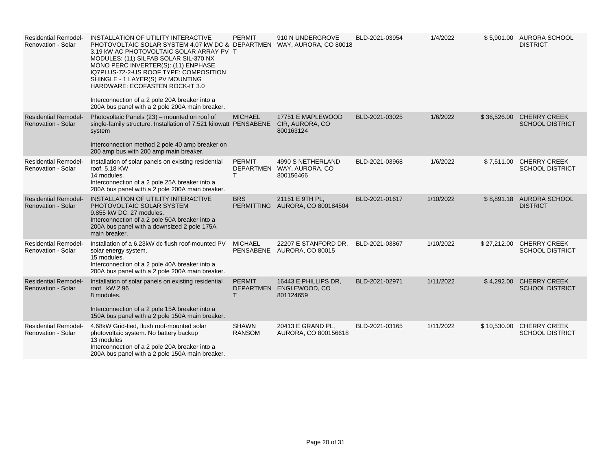| <b>Residential Remodel-</b><br><b>Renovation - Solar</b> | INSTALLATION OF UTILITY INTERACTIVE<br>PHOTOVOLTAIC SOLAR SYSTEM 4.07 kW DC & DEPARTMEN WAY, AURORA, CO 80018<br>3.19 kW AC PHOTOVOLTAIC SOLAR ARRAY PV T<br>MODULES: (11) SILFAB SOLAR SIL-370 NX<br>MONO PERC INVERTER(S): (11) ENPHASE<br>IQ7PLUS-72-2-US ROOF TYPE: COMPOSITION<br>SHINGLE - 1 LAYER(S) PV MOUNTING<br>HARDWARE: ECOFASTEN ROCK-IT 3.0<br>Interconnection of a 2 pole 20A breaker into a<br>200A bus panel with a 2 pole 200A main breaker. | <b>PERMIT</b>                 | 910 N UNDERGROVE                                             | BLD-2021-03954 | 1/4/2022  |             | \$5,901.00 AURORA SCHOOL<br><b>DISTRICT</b>        |
|----------------------------------------------------------|-----------------------------------------------------------------------------------------------------------------------------------------------------------------------------------------------------------------------------------------------------------------------------------------------------------------------------------------------------------------------------------------------------------------------------------------------------------------|-------------------------------|--------------------------------------------------------------|----------------|-----------|-------------|----------------------------------------------------|
| <b>Residential Remodel-</b><br><b>Renovation - Solar</b> | Photovoltaic Panels (23) - mounted on roof of<br>single-family structure. Installation of 7.521 kilowatt PENSABENE<br>system<br>Interconnection method 2 pole 40 amp breaker on<br>200 amp bus with 200 amp main breaker.                                                                                                                                                                                                                                       | <b>MICHAEL</b>                | 17751 E MAPLEWOOD<br>CIR, AURORA, CO<br>800163124            | BLD-2021-03025 | 1/6/2022  |             | \$36,526.00 CHERRY CREEK<br><b>SCHOOL DISTRICT</b> |
| <b>Residential Remodel-</b><br><b>Renovation - Solar</b> | Installation of solar panels on existing residential<br>roof. 5.18 KW<br>14 modules.<br>Interconnection of a 2 pole 25A breaker into a<br>200A bus panel with a 2 pole 200A main breaker.                                                                                                                                                                                                                                                                       | <b>PERMIT</b><br>T.           | 4990 S NETHERLAND<br>DEPARTMEN WAY, AURORA, CO<br>800156466  | BLD-2021-03968 | 1/6/2022  |             | \$7,511.00 CHERRY CREEK<br><b>SCHOOL DISTRICT</b>  |
| <b>Residential Remodel-</b><br><b>Renovation - Solar</b> | INSTALLATION OF UTILITY INTERACTIVE<br>PHOTOVOLTAIC SOLAR SYSTEM<br>9.855 kW DC, 27 modules.<br>Interconnection of a 2 pole 50A breaker into a<br>200A bus panel with a downsized 2 pole 175A<br>main breaker.                                                                                                                                                                                                                                                  | <b>BRS</b>                    | 21151 E 9TH PL,<br>PERMITTING AURORA, CO 800184504           | BLD-2021-01617 | 1/10/2022 |             | \$8,891.18 AURORA SCHOOL<br><b>DISTRICT</b>        |
| <b>Residential Remodel-</b><br><b>Renovation - Solar</b> | Installation of a 6.23kW dc flush roof-mounted PV<br>solar energy system.<br>15 modules.<br>Interconnection of a 2 pole 40A breaker into a<br>200A bus panel with a 2 pole 200A main breaker.                                                                                                                                                                                                                                                                   | <b>MICHAEL</b>                | 22207 E STANFORD DR,<br>PENSABENE AURORA, CO 80015           | BLD-2021-03867 | 1/10/2022 | \$27,212.00 | <b>CHERRY CREEK</b><br><b>SCHOOL DISTRICT</b>      |
| <b>Residential Remodel-</b><br><b>Renovation - Solar</b> | Installation of solar panels on existing residential<br>roof. kW 2.96<br>8 modules.<br>Interconnection of a 2 pole 15A breaker into a<br>150A bus panel with a 2 pole 150A main breaker.                                                                                                                                                                                                                                                                        | <b>PERMIT</b><br>T.           | 16443 E PHILLIPS DR.<br>DEPARTMEN ENGLEWOOD, CO<br>801124659 | BLD-2021-02971 | 1/11/2022 |             | \$4,292.00 CHERRY CREEK<br><b>SCHOOL DISTRICT</b>  |
| <b>Residential Remodel-</b><br>Renovation - Solar        | 4.68kW Grid-tied, flush roof-mounted solar<br>photovoltaic system. No battery backup<br>13 modules<br>Interconnection of a 2 pole 20A breaker into a<br>200A bus panel with a 2 pole 150A main breaker.                                                                                                                                                                                                                                                         | <b>SHAWN</b><br><b>RANSOM</b> | 20413 E GRAND PL,<br>AURORA, CO 800156618                    | BLD-2021-03165 | 1/11/2022 |             | \$10,530.00 CHERRY CREEK<br><b>SCHOOL DISTRICT</b> |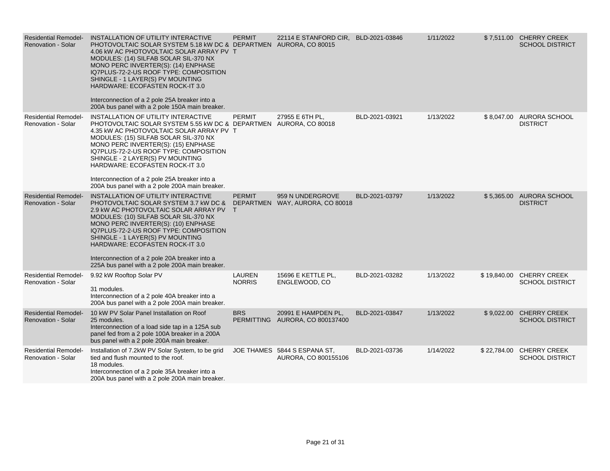| <b>Residential Remodel-</b><br><b>Renovation - Solar</b> | INSTALLATION OF UTILITY INTERACTIVE<br>PHOTOVOLTAIC SOLAR SYSTEM 5.18 kW DC & DEPARTMEN AURORA, CO 80015<br>4.06 KW AC PHOTOVOLTAIC SOLAR ARRAY PV T<br>MODULES: (14) SILFAB SOLAR SIL-370 NX<br>MONO PERC INVERTER(S): (14) ENPHASE<br>IQ7PLUS-72-2-US ROOF TYPE: COMPOSITION<br>SHINGLE - 1 LAYER(S) PV MOUNTING<br>HARDWARE: ECOFASTEN ROCK-IT 3.0<br>Interconnection of a 2 pole 25A breaker into a<br>200A bus panel with a 2 pole 150A main breaker.        | <b>PERMIT</b>           | 22114 E STANFORD CIR, BLD-2021-03846                   |                | 1/11/2022 |             | \$7,511.00 CHERRY CREEK<br><b>SCHOOL DISTRICT</b> |
|----------------------------------------------------------|-------------------------------------------------------------------------------------------------------------------------------------------------------------------------------------------------------------------------------------------------------------------------------------------------------------------------------------------------------------------------------------------------------------------------------------------------------------------|-------------------------|--------------------------------------------------------|----------------|-----------|-------------|---------------------------------------------------|
| <b>Residential Remodel-</b><br>Renovation - Solar        | INSTALLATION OF UTILITY INTERACTIVE<br>PHOTOVOLTAIC SOLAR SYSTEM 5.55 kW DC & DEPARTMEN AURORA, CO 80018<br>4.35 kW AC PHOTOVOLTAIC SOLAR ARRAY PV T<br>MODULES: (15) SILFAB SOLAR SIL-370 NX<br>MONO PERC INVERTER(S): (15) ENPHASE<br>IQ7PLUS-72-2-US ROOF TYPE: COMPOSITION<br>SHINGLE - 2 LAYER(S) PV MOUNTING<br><b>HARDWARE: ECOFASTEN ROCK-IT 3.0</b><br>Interconnection of a 2 pole 25A breaker into a<br>200A bus panel with a 2 pole 200A main breaker. | <b>PERMIT</b>           | 27955 E 6TH PL,                                        | BLD-2021-03921 | 1/13/2022 |             | \$8,047.00 AURORA SCHOOL<br><b>DISTRICT</b>       |
| <b>Residential Remodel-</b><br><b>Renovation - Solar</b> | INSTALLATION OF UTILITY INTERACTIVE<br>PHOTOVOLTAIC SOLAR SYSTEM 3.7 KW DC &<br>2.9 kW AC PHOTOVOLTAIC SOLAR ARRAY PV T<br>MODULES: (10) SILFAB SOLAR SIL-370 NX<br>MONO PERC INVERTER(S): (10) ENPHASE<br>IQ7PLUS-72-2-US ROOF TYPE: COMPOSITION<br>SHINGLE - 1 LAYER(S) PV MOUNTING<br>HARDWARE: ECOFASTEN ROCK-IT 3.0<br>Interconnection of a 2 pole 20A breaker into a<br>225A bus panel with a 2 pole 200A main breaker.                                     | <b>PERMIT</b>           | 959 N UNDERGROVE<br>DEPARTMEN WAY, AURORA, CO 80018    | BLD-2021-03797 | 1/13/2022 |             | \$5,365.00 AURORA SCHOOL<br><b>DISTRICT</b>       |
| <b>Residential Remodel-</b><br><b>Renovation - Solar</b> | 9.92 kW Rooftop Solar PV<br>31 modules.<br>Interconnection of a 2 pole 40A breaker into a<br>200A bus panel with a 2 pole 200A main breaker.                                                                                                                                                                                                                                                                                                                      | LAUREN<br><b>NORRIS</b> | 15696 E KETTLE PL,<br>ENGLEWOOD, CO                    | BLD-2021-03282 | 1/13/2022 | \$19,840.00 | <b>CHERRY CREEK</b><br><b>SCHOOL DISTRICT</b>     |
| <b>Residential Remodel-</b><br><b>Renovation - Solar</b> | 10 kW PV Solar Panel Installation on Roof<br>25 modules.<br>Interconnection of a load side tap in a 125A sub<br>panel fed from a 2 pole 100A breaker in a 200A<br>bus panel with a 2 pole 200A main breaker.                                                                                                                                                                                                                                                      | <b>BRS</b>              | 20991 E HAMPDEN PL,<br>PERMITTING AURORA, CO 800137400 | BLD-2021-03847 | 1/13/2022 | \$9,022.00  | <b>CHERRY CREEK</b><br><b>SCHOOL DISTRICT</b>     |
| <b>Residential Remodel-</b><br>Renovation - Solar        | Installation of 7.2kW PV Solar System, to be grid<br>tied and flush mounted to the roof.<br>18 modules.<br>Interconnection of a 2 pole 35A breaker into a<br>200A bus panel with a 2 pole 200A main breaker.                                                                                                                                                                                                                                                      |                         | JOE THAMES 5844 S ESPANA ST.<br>AURORA, CO 800155106   | BLD-2021-03736 | 1/14/2022 | \$22,784.00 | <b>CHERRY CREEK</b><br><b>SCHOOL DISTRICT</b>     |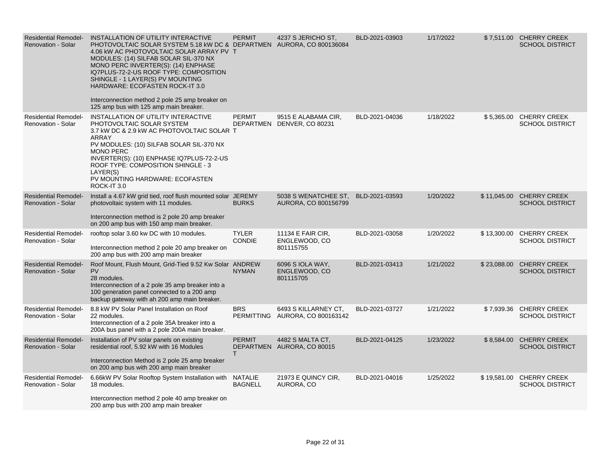| <b>Residential Remodel-</b><br><b>Renovation - Solar</b> | INSTALLATION OF UTILITY INTERACTIVE<br>PHOTOVOLTAIC SOLAR SYSTEM 5.18 KW DC & DEPARTMEN AURORA, CO 800136084<br>4.06 kW AC PHOTOVOLTAIC SOLAR ARRAY PV T<br>MODULES: (14) SILFAB SOLAR SIL-370 NX<br>MONO PERC INVERTER(S): (14) ENPHASE<br>IQ7PLUS-72-2-US ROOF TYPE: COMPOSITION<br>SHINGLE - 1 LAYER(S) PV MOUNTING<br>HARDWARE: ECOFASTEN ROCK-IT 3.0<br>Interconnection method 2 pole 25 amp breaker on<br>125 amp bus with 125 amp main breaker. | <b>PERMIT</b>                 | 4237 S JERICHO ST,                                      | BLD-2021-03903 | 1/17/2022 |             | \$7,511.00 CHERRY CREEK<br><b>SCHOOL DISTRICT</b>  |
|----------------------------------------------------------|--------------------------------------------------------------------------------------------------------------------------------------------------------------------------------------------------------------------------------------------------------------------------------------------------------------------------------------------------------------------------------------------------------------------------------------------------------|-------------------------------|---------------------------------------------------------|----------------|-----------|-------------|----------------------------------------------------|
| <b>Residential Remodel-</b><br><b>Renovation - Solar</b> | INSTALLATION OF UTILITY INTERACTIVE<br>PHOTOVOLTAIC SOLAR SYSTEM<br>3.7 kW DC & 2.9 kW AC PHOTOVOLTAIC SOLAR T<br><b>ARRAY</b><br>PV MODULES: (10) SILFAB SOLAR SIL-370 NX<br><b>MONO PERC</b><br>INVERTER(S): (10) ENPHASE IQ7PLUS-72-2-US<br>ROOF TYPE: COMPOSITION SHINGLE - 3<br>LAYER(S)<br>PV MOUNTING HARDWARE: ECOFASTEN<br>ROCK-IT 3.0                                                                                                        | <b>PERMIT</b>                 | 9515 E ALABAMA CIR,<br>DEPARTMEN DENVER, CO 80231       | BLD-2021-04036 | 1/18/2022 | \$5,365.00  | <b>CHERRY CREEK</b><br><b>SCHOOL DISTRICT</b>      |
| <b>Residential Remodel-</b><br><b>Renovation - Solar</b> | Install a 4.67 kW grid tied, roof flush mounted solar JEREMY<br>photovoltaic system with 11 modules.<br>Interconnection method is 2 pole 20 amp breaker<br>on 200 amp bus with 150 amp main breaker.                                                                                                                                                                                                                                                   | <b>BURKS</b>                  | 5038 S WENATCHEE ST.<br>AURORA, CO 800156799            | BLD-2021-03593 | 1/20/2022 | \$11,045.00 | <b>CHERRY CREEK</b><br><b>SCHOOL DISTRICT</b>      |
| <b>Residential Remodel-</b><br><b>Renovation - Solar</b> | rooftop solar 3.60 kw DC with 10 modules.<br>Interconnection method 2 pole 20 amp breaker on<br>200 amp bus with 200 amp main breaker                                                                                                                                                                                                                                                                                                                  | <b>TYLER</b><br><b>CONDIE</b> | 11134 E FAIR CIR,<br>ENGLEWOOD, CO<br>801115755         | BLD-2021-03058 | 1/20/2022 | \$13,300.00 | <b>CHERRY CREEK</b><br><b>SCHOOL DISTRICT</b>      |
| <b>Residential Remodel-</b><br><b>Renovation - Solar</b> | Roof Mount, Flush Mount, Grid-Tied 9.52 Kw Solar ANDREW<br><b>PV</b><br>28 modules.<br>Interconnection of a 2 pole 35 amp breaker into a<br>100 generation panel connected to a 200 amp<br>backup gateway with ah 200 amp main breaker.                                                                                                                                                                                                                | <b>NYMAN</b>                  | 6096 S IOLA WAY,<br>ENGLEWOOD, CO<br>801115705          | BLD-2021-03413 | 1/21/2022 | \$23,088.00 | <b>CHERRY CREEK</b><br><b>SCHOOL DISTRICT</b>      |
| <b>Residential Remodel-</b><br><b>Renovation - Solar</b> | 8.8 kW PV Solar Panel Installation on Roof<br>22 modules.<br>Interconnection of a 2 pole 35A breaker into a<br>200A bus panel with a 2 pole 200A main breaker.                                                                                                                                                                                                                                                                                         | <b>BRS</b>                    | 6493 S KILLARNEY CT,<br>PERMITTING AURORA, CO 800163142 | BLD-2021-03727 | 1/21/2022 | \$7,939.36  | <b>CHERRY CREEK</b><br><b>SCHOOL DISTRICT</b>      |
| <b>Residential Remodel-</b><br><b>Renovation - Solar</b> | Installation of PV solar panels on existing<br>residential roof, 5.92 kW with 16 Modules<br>Interconnection Method is 2 pole 25 amp breaker<br>on 200 amp bus with 200 amp main breaker                                                                                                                                                                                                                                                                | <b>PERMIT</b><br>т            | 4482 S MALTA CT.<br>DEPARTMEN AURORA, CO 80015          | BLD-2021-04125 | 1/23/2022 | \$8,584.00  | <b>CHERRY CREEK</b><br><b>SCHOOL DISTRICT</b>      |
| <b>Residential Remodel-</b><br><b>Renovation - Solar</b> | 6.66kW PV Solar Rooftop System Installation with NATALIE<br>18 modules.<br>Interconnection method 2 pole 40 amp breaker on<br>200 amp bus with 200 amp main breaker                                                                                                                                                                                                                                                                                    | <b>BAGNELL</b>                | 21973 E QUINCY CIR.<br>AURORA, CO                       | BLD-2021-04016 | 1/25/2022 |             | \$19,581.00 CHERRY CREEK<br><b>SCHOOL DISTRICT</b> |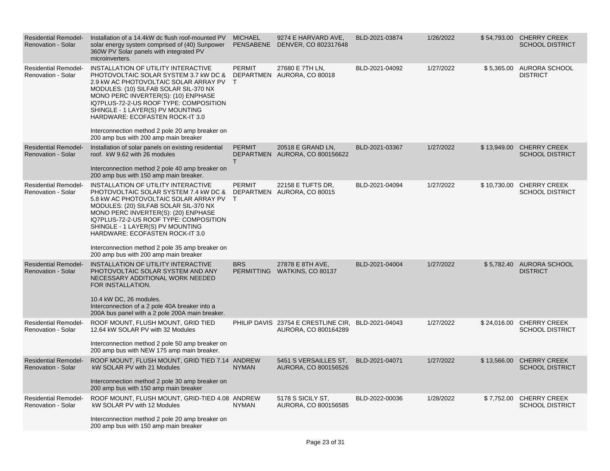| <b>Residential Remodel-</b><br>Renovation - Solar        | Installation of a 14.4kW dc flush roof-mounted PV<br>solar energy system comprised of (40) Sunpower<br>360W PV Solar panels with integrated PV<br>microinverters.                                                                                                                                                                                                                                                                               | <b>MICHAEL</b>      | 9274 E HARVARD AVE,<br>PENSABENE DENVER, CO 802317648       | BLD-2021-03874 | 1/26/2022 |             | \$54,793.00 CHERRY CREEK<br><b>SCHOOL DISTRICT</b> |
|----------------------------------------------------------|-------------------------------------------------------------------------------------------------------------------------------------------------------------------------------------------------------------------------------------------------------------------------------------------------------------------------------------------------------------------------------------------------------------------------------------------------|---------------------|-------------------------------------------------------------|----------------|-----------|-------------|----------------------------------------------------|
| <b>Residential Remodel-</b><br><b>Renovation - Solar</b> | INSTALLATION OF UTILITY INTERACTIVE<br>PHOTOVOLTAIC SOLAR SYSTEM 3.7 kW DC & DEPARTMEN AURORA, CO 80018<br>2.9 kW AC PHOTOVOLTAIC SOLAR ARRAY PV T<br>MODULES: (10) SILFAB SOLAR SIL-370 NX<br>MONO PERC INVERTER(S): (10) ENPHASE<br>IQ7PLUS-72-2-US ROOF TYPE: COMPOSITION<br>SHINGLE - 1 LAYER(S) PV MOUNTING<br>HARDWARE: ECOFASTEN ROCK-IT 3.0<br>Interconnection method 2 pole 20 amp breaker on<br>200 amp bus with 200 amp main breaker | <b>PERMIT</b>       | 27680 E 7TH LN.                                             | BLD-2021-04092 | 1/27/2022 | \$5,365.00  | AURORA SCHOOL<br><b>DISTRICT</b>                   |
| <b>Residential Remodel-</b><br><b>Renovation - Solar</b> | Installation of solar panels on existing residential<br>roof. kW 9.62 with 26 modules<br>Interconnection method 2 pole 40 amp breaker on<br>200 amp bus with 150 amp main breaker.                                                                                                                                                                                                                                                              | <b>PERMIT</b><br>T. | 20518 E GRAND LN,<br>DEPARTMEN AURORA, CO 800156622         | BLD-2021-03367 | 1/27/2022 |             | \$13,949.00 CHERRY CREEK<br><b>SCHOOL DISTRICT</b> |
| <b>Residential Remodel-</b><br><b>Renovation - Solar</b> | INSTALLATION OF UTILITY INTERACTIVE<br>PHOTOVOLTAIC SOLAR SYSTEM 7.4 KW DC &<br>5.8 kW AC PHOTOVOLTAIC SOLAR ARRAY PV T<br>MODULES: (20) SILFAB SOLAR SIL-370 NX<br>MONO PERC INVERTER(S): (20) ENPHASE<br>IQ7PLUS-72-2-US ROOF TYPE: COMPOSITION<br>SHINGLE - 1 LAYER(S) PV MOUNTING<br>HARDWARE: ECOFASTEN ROCK-IT 3.0<br>Interconnection method 2 pole 35 amp breaker on<br>200 amp bus with 200 amp main breaker                            | <b>PERMIT</b>       | 22158 E TUFTS DR.<br>DEPARTMEN AURORA, CO 80015             | BLD-2021-04094 | 1/27/2022 |             | \$10,730.00 CHERRY CREEK<br><b>SCHOOL DISTRICT</b> |
| <b>Residential Remodel-</b><br>Renovation - Solar        | INSTALLATION OF UTILITY INTERACTIVE<br>PHOTOVOLTAIC SOLAR SYSTEM AND ANY<br>NECESSARY ADDITIONAL WORK NEEDED<br>FOR INSTALLATION.<br>10.4 kW DC, 26 modules.<br>Interconnection of a 2 pole 40A breaker into a<br>200A bus panel with a 2 pole 200A main breaker.                                                                                                                                                                               | <b>BRS</b>          | 27878 E 8TH AVE.<br>PERMITTING WATKINS, CO 80137            | BLD-2021-04004 | 1/27/2022 |             | \$5.782.40 AURORA SCHOOL<br><b>DISTRICT</b>        |
| <b>Residential Remodel-</b><br>Renovation - Solar        | ROOF MOUNT, FLUSH MOUNT, GRID TIED<br>12.64 kW SOLAR PV with 32 Modules<br>Interconnection method 2 pole 50 amp breaker on<br>200 amp bus with NEW 175 amp main breaker.                                                                                                                                                                                                                                                                        |                     | PHILIP DAVIS 23754 E CRESTLINE CIR,<br>AURORA, CO 800164289 | BLD-2021-04043 | 1/27/2022 | \$24,016.00 | <b>CHERRY CREEK</b><br><b>SCHOOL DISTRICT</b>      |
| <b>Residential Remodel-</b><br>Renovation - Solar        | ROOF MOUNT, FLUSH MOUNT, GRID TIED 7.14 ANDREW<br>kW SOLAR PV with 21 Modules<br>Interconnection method 2 pole 30 amp breaker on<br>200 amp bus with 150 amp main breaker                                                                                                                                                                                                                                                                       | <b>NYMAN</b>        | 5451 S VERSAILLES ST,<br>AURORA, CO 800156526               | BLD-2021-04071 | 1/27/2022 | \$13,566.00 | <b>CHERRY CREEK</b><br><b>SCHOOL DISTRICT</b>      |
| <b>Residential Remodel-</b><br><b>Renovation - Solar</b> | ROOF MOUNT, FLUSH MOUNT, GRID-TIED 4.08 ANDREW<br>kW SOLAR PV with 12 Modules<br>Interconnection method 2 pole 20 amp breaker on<br>200 amp bus with 150 amp main breaker                                                                                                                                                                                                                                                                       | <b>NYMAN</b>        | 5178 S SICILY ST.<br>AURORA, CO 800156585                   | BLD-2022-00036 | 1/28/2022 |             | \$7,752.00 CHERRY CREEK<br><b>SCHOOL DISTRICT</b>  |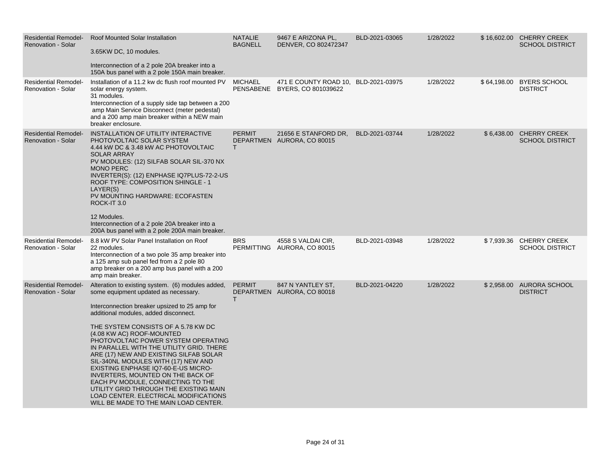| <b>Residential Remodel-</b><br><b>Renovation - Solar</b> | <b>Roof Mounted Solar Installation</b><br>3.65KW DC, 10 modules.<br>Interconnection of a 2 pole 20A breaker into a<br>150A bus panel with a 2 pole 150A main breaker.                                                                                                                                                                                                                                                                                                                                                                                                                                                                                                    | <b>NATALIE</b><br><b>BAGNELL</b> | 9467 E ARIZONA PL,<br>DENVER, CO 802472347                            | BLD-2021-03065 | 1/28/2022 | \$16,602.00 CHERRY CREEK<br><b>SCHOOL DISTRICT</b> |
|----------------------------------------------------------|--------------------------------------------------------------------------------------------------------------------------------------------------------------------------------------------------------------------------------------------------------------------------------------------------------------------------------------------------------------------------------------------------------------------------------------------------------------------------------------------------------------------------------------------------------------------------------------------------------------------------------------------------------------------------|----------------------------------|-----------------------------------------------------------------------|----------------|-----------|----------------------------------------------------|
| <b>Residential Remodel-</b><br>Renovation - Solar        | Installation of a 11.2 kw dc flush roof mounted PV<br>solar energy system.<br>31 modules.<br>Interconnection of a supply side tap between a 200<br>amp Main Service Disconnect (meter pedestal)<br>and a 200 amp main breaker within a NEW main<br>breaker enclosure.                                                                                                                                                                                                                                                                                                                                                                                                    | MICHAEL                          | 471 E COUNTY ROAD 10, BLD-2021-03975<br>PENSABENE BYERS, CO 801039622 |                | 1/28/2022 | \$64,198.00 BYERS SCHOOL<br><b>DISTRICT</b>        |
| <b>Residential Remodel-</b><br><b>Renovation - Solar</b> | INSTALLATION OF UTILITY INTERACTIVE<br>PHOTOVOLTAIC SOLAR SYSTEM<br>4.44 kW DC & 3.48 kW AC PHOTOVOLTAIC<br><b>SOLAR ARRAY</b><br>PV MODULES: (12) SILFAB SOLAR SIL-370 NX<br><b>MONO PERC</b><br>INVERTER(S): (12) ENPHASE IQ7PLUS-72-2-US<br>ROOF TYPE: COMPOSITION SHINGLE - 1<br>LAYER(S)<br>PV MOUNTING HARDWARE: ECOFASTEN<br>ROCK-IT 3.0<br>12 Modules.<br>Interconnection of a 2 pole 20A breaker into a<br>200A bus panel with a 2 pole 200A main breaker.                                                                                                                                                                                                      | <b>PERMIT</b><br>T.              | 21656 E STANFORD DR.<br>DEPARTMEN AURORA, CO 80015                    | BLD-2021-03744 | 1/28/2022 | \$6,438.00 CHERRY CREEK<br><b>SCHOOL DISTRICT</b>  |
| <b>Residential Remodel-</b><br>Renovation - Solar        | 8.8 kW PV Solar Panel Installation on Roof<br>22 modules.<br>Interconnection of a two pole 35 amp breaker into<br>a 125 amp sub panel fed from a 2 pole 80<br>amp breaker on a 200 amp bus panel with a 200<br>amp main breaker.                                                                                                                                                                                                                                                                                                                                                                                                                                         | <b>BRS</b>                       | 4558 S VALDAI CIR,<br>PERMITTING AURORA, CO 80015                     | BLD-2021-03948 | 1/28/2022 | \$7,939.36 CHERRY CREEK<br><b>SCHOOL DISTRICT</b>  |
| <b>Residential Remodel-</b><br><b>Renovation - Solar</b> | Alteration to existing system. (6) modules added,<br>some equipment updated as necessary.<br>Interconnection breaker upsized to 25 amp for<br>additional modules, added disconnect.<br>THE SYSTEM CONSISTS OF A 5.78 KW DC<br>(4.08 KW AC) ROOF-MOUNTED<br>PHOTOVOLTAIC POWER SYSTEM OPERATING<br>IN PARALLEL WITH THE UTILITY GRID. THERE<br>ARE (17) NEW AND EXISTING SILFAB SOLAR<br>SIL-340NL MODULES WITH (17) NEW AND<br>EXISTING ENPHASE IQ7-60-E-US MICRO-<br>INVERTERS, MOUNTED ON THE BACK OF<br>EACH PV MODULE, CONNECTING TO THE<br>UTILITY GRID THROUGH THE EXISTING MAIN<br>LOAD CENTER. ELECTRICAL MODIFICATIONS<br>WILL BE MADE TO THE MAIN LOAD CENTER. | <b>PERMIT</b><br>т               | 847 N YANTLEY ST.<br>DEPARTMEN AURORA, CO 80018                       | BLD-2021-04220 | 1/28/2022 | \$2,958.00 AURORA SCHOOL<br><b>DISTRICT</b>        |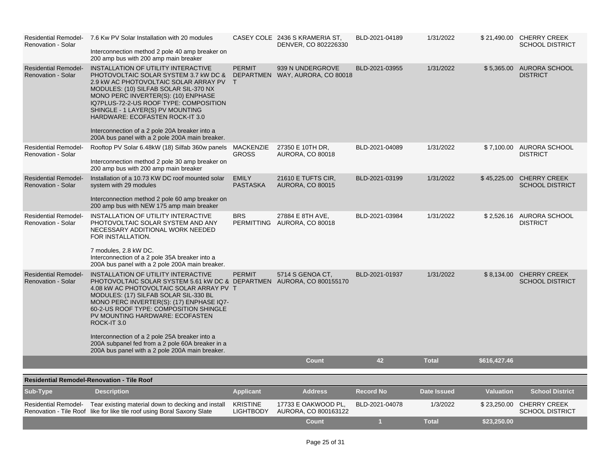| <b>Residential Remodel-</b><br><b>Renovation - Solar</b> | 7.6 Kw PV Solar Installation with 20 modules<br>Interconnection method 2 pole 40 amp breaker on<br>200 amp bus with 200 amp main breaker                                                                                                                                                                                                                                                                                                                                                           |                                     | CASEY COLE 2436 S KRAMERIA ST.<br>DENVER, CO 802226330 | BLD-2021-04189 | 1/31/2022          |                  | \$21,490.00 CHERRY CREEK<br><b>SCHOOL DISTRICT</b> |
|----------------------------------------------------------|----------------------------------------------------------------------------------------------------------------------------------------------------------------------------------------------------------------------------------------------------------------------------------------------------------------------------------------------------------------------------------------------------------------------------------------------------------------------------------------------------|-------------------------------------|--------------------------------------------------------|----------------|--------------------|------------------|----------------------------------------------------|
| <b>Residential Remodel-</b><br>Renovation - Solar        | INSTALLATION OF UTILITY INTERACTIVE<br>PHOTOVOLTAIC SOLAR SYSTEM 3.7 KW DC &<br>2.9 kW AC PHOTOVOLTAIC SOLAR ARRAY PV T<br>MODULES: (10) SILFAB SOLAR SIL-370 NX<br>MONO PERC INVERTER(S): (10) ENPHASE<br>IQ7PLUS-72-2-US ROOF TYPE: COMPOSITION<br>SHINGLE - 1 LAYER(S) PV MOUNTING<br>HARDWARE: ECOFASTEN ROCK-IT 3.0<br>Interconnection of a 2 pole 20A breaker into a<br>200A bus panel with a 2 pole 200A main breaker.                                                                      | <b>PERMIT</b>                       | 939 N UNDERGROVE<br>DEPARTMEN WAY, AURORA, CO 80018    | BLD-2021-03955 | 1/31/2022          | \$5,365.00       | <b>AURORA SCHOOL</b><br><b>DISTRICT</b>            |
| <b>Residential Remodel-</b><br><b>Renovation - Solar</b> | Rooftop PV Solar 6.48kW (18) Silfab 360w panels<br>Interconnection method 2 pole 30 amp breaker on<br>200 amp bus with 200 amp main breaker                                                                                                                                                                                                                                                                                                                                                        | MACKENZIE<br><b>GROSS</b>           | 27350 E 10TH DR,<br><b>AURORA, CO 80018</b>            | BLD-2021-04089 | 1/31/2022          |                  | \$7,100.00 AURORA SCHOOL<br><b>DISTRICT</b>        |
| <b>Residential Remodel-</b><br><b>Renovation - Solar</b> | Installation of a 10.73 KW DC roof mounted solar<br>system with 29 modules<br>Interconnection method 2 pole 60 amp breaker on<br>200 amp bus with NEW 175 amp main breaker                                                                                                                                                                                                                                                                                                                         | <b>EMILY</b><br><b>PASTASKA</b>     | 21610 E TUFTS CIR.<br><b>AURORA, CO 80015</b>          | BLD-2021-03199 | 1/31/2022          | \$45,225.00      | <b>CHERRY CREEK</b><br><b>SCHOOL DISTRICT</b>      |
| <b>Residential Remodel-</b><br><b>Renovation - Solar</b> | INSTALLATION OF UTILITY INTERACTIVE<br>PHOTOVOLTAIC SOLAR SYSTEM AND ANY<br>NECESSARY ADDITIONAL WORK NEEDED<br>FOR INSTALLATION.<br>7 modules, 2.8 kW DC.<br>Interconnection of a 2 pole 35A breaker into a<br>200A bus panel with a 2 pole 200A main breaker.                                                                                                                                                                                                                                    | <b>BRS</b>                          | 27884 E 8TH AVE,<br>PERMITTING AURORA, CO 80018        | BLD-2021-03984 | 1/31/2022          |                  | \$2,526.16 AURORA SCHOOL<br><b>DISTRICT</b>        |
| <b>Residential Remodel-</b><br><b>Renovation - Solar</b> | INSTALLATION OF UTILITY INTERACTIVE<br>PHOTOVOLTAIC SOLAR SYSTEM 5.61 kW DC & DEPARTMEN AURORA, CO 800155170<br>4.08 KW AC PHOTOVOLTAIC SOLAR ARRAY PV T<br>MODULES: (17) SILFAB SOLAR SIL-330 BL<br>MONO PERC INVERTER(S): (17) ENPHASE IQ7-<br>60-2-US ROOF TYPE: COMPOSITION SHINGLE<br>PV MOUNTING HARDWARE: ECOFASTEN<br>ROCK-IT 3.0<br>Interconnection of a 2 pole 25A breaker into a<br>200A subpanel fed from a 2 pole 60A breaker in a<br>200A bus panel with a 2 pole 200A main breaker. | <b>PERMIT</b>                       | 5714 S GENOA CT,                                       | BLD-2021-01937 | 1/31/2022          |                  | \$8,134.00 CHERRY CREEK<br><b>SCHOOL DISTRICT</b>  |
|                                                          |                                                                                                                                                                                                                                                                                                                                                                                                                                                                                                    |                                     | <b>Count</b>                                           | 42             | <b>Total</b>       | \$616,427.46     |                                                    |
|                                                          | <b>Residential Remodel-Renovation - Tile Roof</b>                                                                                                                                                                                                                                                                                                                                                                                                                                                  |                                     |                                                        |                |                    |                  |                                                    |
| Sub-Type                                                 | <b>Description</b>                                                                                                                                                                                                                                                                                                                                                                                                                                                                                 | <b>Applicant</b>                    | <b>Address</b>                                         | Record No      | <b>Date Issued</b> | <b>Valuation</b> | <b>School District</b>                             |
|                                                          | Residential Remodel- Tear existing material down to decking and install<br>Renovation - Tile Roof like for like tile roof using Boral Saxony Slate                                                                                                                                                                                                                                                                                                                                                 | <b>KRISTINE</b><br><b>LIGHTBODY</b> | 17733 E OAKWOOD PL.<br>AURORA, CO 800163122            | BLD-2021-04078 | 1/3/2022           |                  | \$23,250.00 CHERRY CREEK<br><b>SCHOOL DISTRICT</b> |
|                                                          |                                                                                                                                                                                                                                                                                                                                                                                                                                                                                                    |                                     | <b>Count</b>                                           | 1              | <b>Total</b>       | \$23,250.00      |                                                    |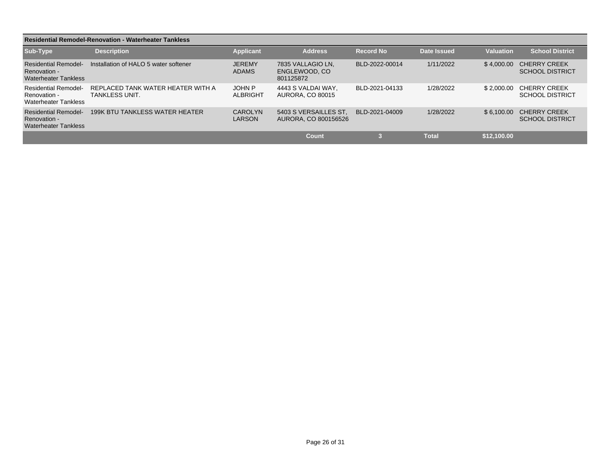| <b>Residential Remodel-Renovation - Waterheater Tankless</b>               |                                                            |                                 |                                                 |                  |              |             |                                               |
|----------------------------------------------------------------------------|------------------------------------------------------------|---------------------------------|-------------------------------------------------|------------------|--------------|-------------|-----------------------------------------------|
| Sub-Type                                                                   | <b>Description</b>                                         | <b>Applicant</b>                | <b>Address</b>                                  | <b>Record No</b> | Date Issued  | Valuation   | <b>School District</b>                        |
| <b>Residential Remodel-</b><br>Renovation -<br><b>Waterheater Tankless</b> | Installation of HALO 5 water softener                      | <b>JEREMY</b><br><b>ADAMS</b>   | 7835 VALLAGIO LN.<br>ENGLEWOOD, CO<br>801125872 | BLD-2022-00014   | 1/11/2022    | \$4.000.00  | <b>CHERRY CREEK</b><br><b>SCHOOL DISTRICT</b> |
| <b>Residential Remodel-</b><br>Renovation -<br><b>Waterheater Tankless</b> | REPLACED TANK WATER HEATER WITH A<br><b>TANKLESS UNIT.</b> | <b>JOHN P</b><br>ALBRIGHT       | 4443 S VALDAI WAY.<br><b>AURORA, CO 80015</b>   | BLD-2021-04133   | 1/28/2022    | \$2.000.00  | <b>CHERRY CREEK</b><br><b>SCHOOL DISTRICT</b> |
| <b>Residential Remodel-</b><br>Renovation -<br><b>Waterheater Tankless</b> | 199K BTU TANKLESS WATER HEATER                             | <b>CAROLYN</b><br><b>LARSON</b> | 5403 S VERSAILLES ST<br>AURORA, CO 800156526    | BLD-2021-04009   | 1/28/2022    | \$6.100.00  | <b>CHERRY CREEK</b><br><b>SCHOOL DISTRICT</b> |
|                                                                            |                                                            |                                 | Count                                           |                  | <b>Total</b> | \$12.100.00 |                                               |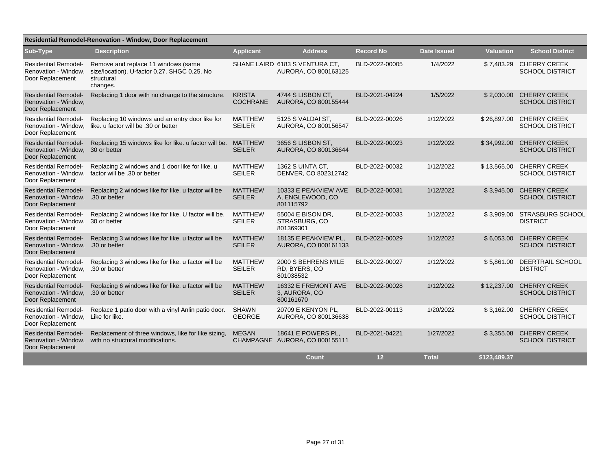| <b>Residential Remodel-Renovation - Window, Door Replacement</b>                      |                                                                                                               |                                  |                                                        |                  |              |                  |                                               |
|---------------------------------------------------------------------------------------|---------------------------------------------------------------------------------------------------------------|----------------------------------|--------------------------------------------------------|------------------|--------------|------------------|-----------------------------------------------|
| Sub-Type                                                                              | <b>Description</b>                                                                                            | <b>Applicant</b>                 | <b>Address</b>                                         | <b>Record No</b> | Date Issued  | <b>Valuation</b> | <b>School District</b>                        |
| <b>Residential Remodel-</b><br>Renovation - Window.<br>Door Replacement               | Remove and replace 11 windows (same<br>size/location). U-factor 0.27. SHGC 0.25. No<br>structural<br>changes. |                                  | SHANE LAIRD 6183 S VENTURA CT,<br>AURORA, CO 800163125 | BLD-2022-00005   | 1/4/2022     | \$7,483.29       | <b>CHERRY CREEK</b><br><b>SCHOOL DISTRICT</b> |
| <b>Residential Remodel-</b><br>Renovation - Window,<br>Door Replacement               | Replacing 1 door with no change to the structure.                                                             | <b>KRISTA</b><br><b>COCHRANE</b> | 4744 S LISBON CT,<br>AURORA, CO 800155444              | BLD-2021-04224   | 1/5/2022     | \$2,030.00       | <b>CHERRY CREEK</b><br><b>SCHOOL DISTRICT</b> |
| <b>Residential Remodel-</b><br>Renovation - Window,<br>Door Replacement               | Replacing 10 windows and an entry door like for<br>like. u factor will be .30 or better                       | <b>MATTHEW</b><br><b>SEILER</b>  | 5125 S VALDAI ST.<br>AURORA, CO 800156547              | BLD-2022-00026   | 1/12/2022    | \$26,897.00      | <b>CHERRY CREEK</b><br><b>SCHOOL DISTRICT</b> |
| <b>Residential Remodel-</b><br>Renovation - Window.<br>Door Replacement               | Replacing 15 windows like for like. u factor will be.<br>30 or better                                         | <b>MATTHEW</b><br><b>SEILER</b>  | 3656 S LISBON ST.<br>AURORA, CO 800136644              | BLD-2022-00023   | 1/12/2022    | \$34,992.00      | <b>CHERRY CREEK</b><br><b>SCHOOL DISTRICT</b> |
| <b>Residential Remodel-</b><br>Renovation - Window,<br>Door Replacement               | Replacing 2 windows and 1 door like for like. u<br>factor will be .30 or better                               | <b>MATTHEW</b><br><b>SEILER</b>  | 1362 S UINTA CT,<br>DENVER, CO 802312742               | BLD-2022-00032   | 1/12/2022    | \$13,565.00      | <b>CHERRY CREEK</b><br><b>SCHOOL DISTRICT</b> |
| <b>Residential Remodel-</b><br>Renovation - Window,<br>Door Replacement               | Replacing 2 windows like for like. u factor will be<br>.30 or better                                          | <b>MATTHEW</b><br><b>SEILER</b>  | 10333 E PEAKVIEW AVE<br>A, ENGLEWOOD, CO<br>801115792  | BLD-2022-00031   | 1/12/2022    | \$3.945.00       | <b>CHERRY CREEK</b><br><b>SCHOOL DISTRICT</b> |
| <b>Residential Remodel-</b><br>Renovation - Window,<br>Door Replacement               | Replacing 2 windows like for like. U factor will be.<br>30 or better                                          | <b>MATTHEW</b><br><b>SEILER</b>  | 55004 E BISON DR,<br>STRASBURG, CO<br>801369301        | BLD-2022-00033   | 1/12/2022    | \$3,909.00       | <b>STRASBURG SCHOOL</b><br><b>DISTRICT</b>    |
| <b>Residential Remodel-</b><br>Renovation - Window,<br>Door Replacement               | Replacing 3 windows like for like. u factor will be<br>.30 or better                                          | <b>MATTHEW</b><br><b>SEILER</b>  | 18135 E PEAKVIEW PL.<br>AURORA, CO 800161133           | BLD-2022-00029   | 1/12/2022    | \$6,053.00       | <b>CHERRY CREEK</b><br><b>SCHOOL DISTRICT</b> |
| <b>Residential Remodel-</b><br>Renovation - Window, .30 or better<br>Door Replacement | Replacing 3 windows like for like. u factor will be                                                           | <b>MATTHEW</b><br><b>SEILER</b>  | 2000 S BEHRENS MILE<br>RD, BYERS, CO<br>801038532      | BLD-2022-00027   | 1/12/2022    | \$5,861.00       | DEERTRAIL SCHOOL<br><b>DISTRICT</b>           |
| <b>Residential Remodel-</b><br>Renovation - Window, .30 or better<br>Door Replacement | Replacing 6 windows like for like. u factor will be                                                           | <b>MATTHEW</b><br><b>SEILER</b>  | 16332 E FREMONT AVE<br>3, AURORA, CO<br>800161670      | BLD-2022-00028   | 1/12/2022    | \$12,237.00      | <b>CHERRY CREEK</b><br><b>SCHOOL DISTRICT</b> |
| <b>Residential Remodel-</b><br>Renovation - Window,<br>Door Replacement               | Replace 1 patio door with a vinyl Anlin patio door.<br>Like for like.                                         | <b>SHAWN</b><br><b>GEORGE</b>    | 20709 E KENYON PL.<br>AURORA, CO 800136638             | BLD-2022-00113   | 1/20/2022    | \$3,162.00       | <b>CHERRY CREEK</b><br><b>SCHOOL DISTRICT</b> |
| <b>Residential Remodel-</b><br>Renovation - Window,<br>Door Replacement               | Replacement of three windows, like for like sizing,<br>with no structural modifications.                      | <b>MEGAN</b>                     | 18641 E POWERS PL.<br>CHAMPAGNE AURORA, CO 800155111   | BLD-2021-04221   | 1/27/2022    | \$3,355.08       | <b>CHERRY CREEK</b><br><b>SCHOOL DISTRICT</b> |
|                                                                                       |                                                                                                               |                                  | Count                                                  | 12               | <b>Total</b> | \$123,489.37     |                                               |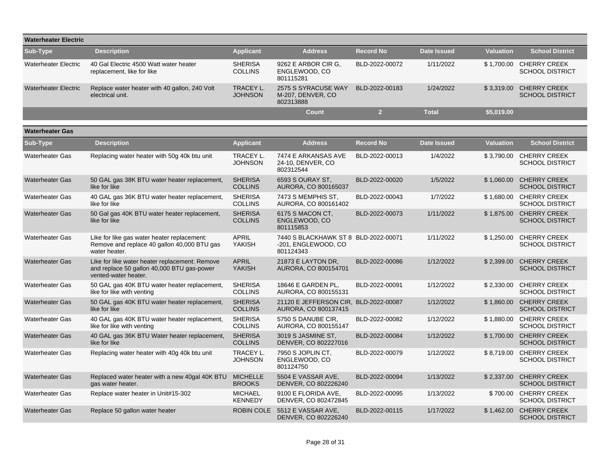| <b>Waterheater Electric</b> |                                                                                                                      |                                    |                                                                          |                  |                    |                  |                                                   |
|-----------------------------|----------------------------------------------------------------------------------------------------------------------|------------------------------------|--------------------------------------------------------------------------|------------------|--------------------|------------------|---------------------------------------------------|
| Sub-Type                    | <b>Description</b>                                                                                                   | <b>Applicant</b>                   | <b>Address</b>                                                           | <b>Record No</b> | <b>Date Issued</b> | <b>Valuation</b> | <b>School District</b>                            |
| <b>Waterheater Electric</b> | 40 Gal Electric 4500 Watt water heater<br>replacement, like for like                                                 | <b>SHERISA</b><br><b>COLLINS</b>   | 9262 E ARBOR CIR G,<br>ENGLEWOOD, CO<br>801115281                        | BLD-2022-00072   | 1/11/2022          |                  | \$1,700.00 CHERRY CREEK<br><b>SCHOOL DISTRICT</b> |
| <b>Waterheater Electric</b> | Replace water heater with 40 gallon, 240 Volt<br>electrical unit.                                                    | <b>TRACEY L.</b><br><b>JOHNSON</b> | 2575 S SYRACUSE WAY<br>M-207, DENVER, CO<br>802313888                    | BLD-2022-00183   | 1/24/2022          | \$3,319.00       | <b>CHERRY CREEK</b><br><b>SCHOOL DISTRICT</b>     |
|                             |                                                                                                                      |                                    | <b>Count</b>                                                             | $\overline{2}$   | <b>Total</b>       | \$5,019.00       |                                                   |
| <b>Waterheater Gas</b>      |                                                                                                                      |                                    |                                                                          |                  |                    |                  |                                                   |
| Sub-Type                    | <b>Description</b>                                                                                                   | <b>Applicant</b>                   | <b>Address</b>                                                           | <b>Record No</b> | <b>Date Issued</b> | <b>Valuation</b> | <b>School District</b>                            |
| <b>Waterheater Gas</b>      | Replacing water heater with 50g 40k btu unit                                                                         | TRACEY L.<br><b>JOHNSON</b>        | 7474 E ARKANSAS AVE<br>24-10, DENVER, CO<br>802312544                    | BLD-2022-00013   | 1/4/2022           | \$3,790.00       | <b>CHERRY CREEK</b><br><b>SCHOOL DISTRICT</b>     |
| <b>Waterheater Gas</b>      | 50 GAL gas 38K BTU water heater replacement,<br>like for like                                                        | <b>SHERISA</b><br><b>COLLINS</b>   | 6593 S OURAY ST.<br>AURORA, CO 800165037                                 | BLD-2022-00020   | 1/5/2022           | \$1,060.00       | <b>CHERRY CREEK</b><br><b>SCHOOL DISTRICT</b>     |
| <b>Waterheater Gas</b>      | 40 GAL gas 36K BTU water heater replacement,<br>like for like                                                        | <b>SHERISA</b><br><b>COLLINS</b>   | 7473 S MEMPHIS ST,<br>AURORA, CO 800161402                               | BLD-2022-00043   | 1/7/2022           | \$1,680.00       | <b>CHERRY CREEK</b><br><b>SCHOOL DISTRICT</b>     |
| <b>Waterheater Gas</b>      | 50 Gal gas 40K BTU water heater replacement,<br>like for like                                                        | <b>SHERISA</b><br><b>COLLINS</b>   | 6175 S MACON CT,<br>ENGLEWOOD, CO<br>801115853                           | BLD-2022-00073   | 1/11/2022          | \$1,875.00       | <b>CHERRY CREEK</b><br><b>SCHOOL DISTRICT</b>     |
| <b>Waterheater Gas</b>      | Like for like gas water heater replacement:<br>Remove and replace 40 gallon 40,000 BTU gas<br>water heater.          | <b>APRIL</b><br><b>YAKISH</b>      | 7440 S BLACKHAWK ST 8 BLD-2022-00071<br>-201, ENGLEWOOD, CO<br>801124343 |                  | 1/11/2022          | \$1,250.00       | <b>CHERRY CREEK</b><br><b>SCHOOL DISTRICT</b>     |
| <b>Waterheater Gas</b>      | Like for like water heater replacement: Remove<br>and replace 50 gallon 40,000 BTU gas-power<br>vented-water heater. | <b>APRIL</b><br><b>YAKISH</b>      | 21873 E LAYTON DR,<br>AURORA, CO 800154701                               | BLD-2022-00086   | 1/12/2022          | \$2,399.00       | <b>CHERRY CREEK</b><br><b>SCHOOL DISTRICT</b>     |
| <b>Waterheater Gas</b>      | 50 GAL gas 40K BTU water heater replacement,<br>like for like with venting                                           | <b>SHERISA</b><br><b>COLLINS</b>   | 18646 E GARDEN PL.<br>AURORA, CO 800155131                               | BLD-2022-00091   | 1/12/2022          | \$2,330.00       | <b>CHERRY CREEK</b><br><b>SCHOOL DISTRICT</b>     |
| <b>Waterheater Gas</b>      | 50 GAL gas 40K BTU water heater replacement,<br>like for like                                                        | <b>SHERISA</b><br><b>COLLINS</b>   | 21120 E JEFFERSON CIR, BLD-2022-00087<br>AURORA, CO 800137415            |                  | 1/12/2022          | \$1,860.00       | <b>CHERRY CREEK</b><br><b>SCHOOL DISTRICT</b>     |
| <b>Waterheater Gas</b>      | 40 GAL gas 40K BTU water heater replacement,<br>like for like with venting                                           | <b>SHERISA</b><br><b>COLLINS</b>   | 5750 S DANUBE CIR,<br>AURORA, CO 800155147                               | BLD-2022-00082   | 1/12/2022          | \$1,880.00       | <b>CHERRY CREEK</b><br><b>SCHOOL DISTRICT</b>     |
| <b>Waterheater Gas</b>      | 40 GAL gas 36K BTU Water heater replacement,<br>like for like                                                        | <b>SHERISA</b><br><b>COLLINS</b>   | 3019 S JASMINE ST,<br>DENVER, CO 802227016                               | BLD-2022-00084   | 1/12/2022          | \$1,700.00       | <b>CHERRY CREEK</b><br><b>SCHOOL DISTRICT</b>     |
| <b>Waterheater Gas</b>      | Replacing water heater with 40g 40k btu unit                                                                         | <b>TRACEY L.</b><br><b>JOHNSON</b> | 7950 S JOPLIN CT,<br>ENGLEWOOD, CO<br>801124750                          | BLD-2022-00079   | 1/12/2022          | \$8.719.00       | <b>CHERRY CREEK</b><br><b>SCHOOL DISTRICT</b>     |
| <b>Waterheater Gas</b>      | Replaced water heater with a new 40gal 40K BTU<br>gas water heater.                                                  | <b>MICHELLE</b><br><b>BROOKS</b>   | 5504 E VASSAR AVE.<br>DENVER, CO 802226240                               | BLD-2022-00094   | 1/13/2022          | \$2,337.00       | <b>CHERRY CREEK</b><br><b>SCHOOL DISTRICT</b>     |
| <b>Waterheater Gas</b>      | Replace water heater in Unit#15-302                                                                                  | <b>MICHAEL</b><br><b>KENNEDY</b>   | 9100 E FLORIDA AVE,<br>DENVER, CO 802472845                              | BLD-2022-00095   | 1/13/2022          | \$700.00         | <b>CHERRY CREEK</b><br><b>SCHOOL DISTRICT</b>     |
| <b>Waterheater Gas</b>      | Replace 50 gallon water heater                                                                                       |                                    | ROBIN COLE 5512 E VASSAR AVE.<br>DENVER, CO 802226240                    | BLD-2022-00115   | 1/17/2022          | \$1.462.00       | <b>CHERRY CREEK</b><br><b>SCHOOL DISTRICT</b>     |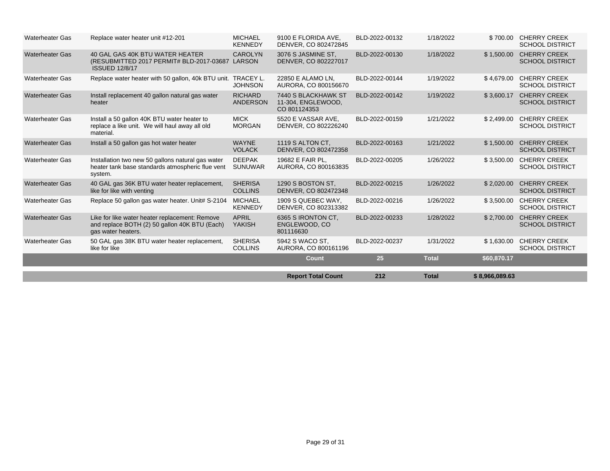| <b>Waterheater Gas</b> | Replace water heater unit #12-201                                                                                     | <b>MICHAEL</b><br><b>KENNEDY</b>  | 9100 E FLORIDA AVE,<br>DENVER, CO 802472845               | BLD-2022-00132 | 1/18/2022    | \$700.00       | <b>CHERRY CREEK</b><br><b>SCHOOL DISTRICT</b> |
|------------------------|-----------------------------------------------------------------------------------------------------------------------|-----------------------------------|-----------------------------------------------------------|----------------|--------------|----------------|-----------------------------------------------|
| <b>Waterheater Gas</b> | 40 GAL GAS 40K BTU WATER HEATER<br>(RESUBMITTED 2017 PERMIT# BLD-2017-03687 LARSON<br><b>ISSUED 12/8/17</b>           | <b>CAROLYN</b>                    | 3076 S JASMINE ST.<br>DENVER, CO 802227017                | BLD-2022-00130 | 1/18/2022    | \$1,500.00     | <b>CHERRY CREEK</b><br><b>SCHOOL DISTRICT</b> |
| <b>Waterheater Gas</b> | Replace water heater with 50 gallon, 40k BTU unit. TRACEY L.                                                          | <b>JOHNSON</b>                    | 22850 E ALAMO LN,<br>AURORA, CO 800156670                 | BLD-2022-00144 | 1/19/2022    | \$4,679.00     | <b>CHERRY CREEK</b><br><b>SCHOOL DISTRICT</b> |
| <b>Waterheater Gas</b> | Install replacement 40 gallon natural gas water<br>heater                                                             | <b>RICHARD</b><br><b>ANDERSON</b> | 7440 S BLACKHAWK ST<br>11-304, ENGLEWOOD,<br>CO 801124353 | BLD-2022-00142 | 1/19/2022    | \$3,600.17     | <b>CHERRY CREEK</b><br><b>SCHOOL DISTRICT</b> |
| <b>Waterheater Gas</b> | Install a 50 gallon 40K BTU water heater to<br>replace a like unit. We will haul away all old<br>material.            | <b>MICK</b><br><b>MORGAN</b>      | 5520 E VASSAR AVE.<br>DENVER, CO 802226240                | BLD-2022-00159 | 1/21/2022    | \$2,499.00     | <b>CHERRY CREEK</b><br><b>SCHOOL DISTRICT</b> |
| <b>Waterheater Gas</b> | Install a 50 gallon gas hot water heater                                                                              | <b>WAYNE</b><br><b>VOLACK</b>     | 1119 S ALTON CT.<br>DENVER, CO 802472358                  | BLD-2022-00163 | 1/21/2022    | \$1,500.00     | <b>CHERRY CREEK</b><br><b>SCHOOL DISTRICT</b> |
| <b>Waterheater Gas</b> | Installation two new 50 gallons natural gas water<br>heater tank base standards atmospheric flue vent<br>system.      | <b>DEEPAK</b><br><b>SUNUWAR</b>   | 19682 E FAIR PL.<br>AURORA, CO 800163835                  | BLD-2022-00205 | 1/26/2022    | \$3,500.00     | <b>CHERRY CREEK</b><br><b>SCHOOL DISTRICT</b> |
| <b>Waterheater Gas</b> | 40 GAL gas 36K BTU water heater replacement,<br>like for like with venting                                            | <b>SHERISA</b><br><b>COLLINS</b>  | 1290 S BOSTON ST.<br>DENVER, CO 802472348                 | BLD-2022-00215 | 1/26/2022    | \$2,020.00     | <b>CHERRY CREEK</b><br><b>SCHOOL DISTRICT</b> |
| <b>Waterheater Gas</b> | Replace 50 gallon gas water heater. Unit# S-2104                                                                      | <b>MICHAEL</b><br><b>KENNEDY</b>  | 1909 S QUEBEC WAY.<br>DENVER, CO 802313382                | BLD-2022-00216 | 1/26/2022    | \$3,500.00     | <b>CHERRY CREEK</b><br><b>SCHOOL DISTRICT</b> |
| <b>Waterheater Gas</b> | Like for like water heater replacement: Remove<br>and replace BOTH (2) 50 gallon 40K BTU (Each)<br>gas water heaters. | <b>APRIL</b><br><b>YAKISH</b>     | 6365 S IRONTON CT.<br>ENGLEWOOD, CO<br>801116630          | BLD-2022-00233 | 1/28/2022    | \$2,700.00     | <b>CHERRY CREEK</b><br><b>SCHOOL DISTRICT</b> |
| <b>Waterheater Gas</b> | 50 GAL gas 38K BTU water heater replacement,<br>like for like                                                         | <b>SHERISA</b><br><b>COLLINS</b>  | 5942 S WACO ST.<br>AURORA, CO 800161196                   | BLD-2022-00237 | 1/31/2022    | \$1,630.00     | <b>CHERRY CREEK</b><br><b>SCHOOL DISTRICT</b> |
|                        |                                                                                                                       |                                   | Count                                                     | 25             | <b>Total</b> | \$60,870.17    |                                               |
|                        |                                                                                                                       |                                   | <b>Report Total Count</b>                                 | 212            | <b>Total</b> | \$8,966,089.63 |                                               |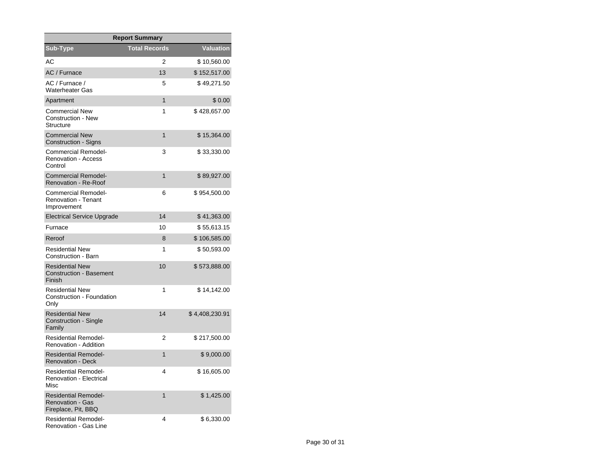| <b>Report Summary</b>                                                         |                      |                |  |  |  |  |  |
|-------------------------------------------------------------------------------|----------------------|----------------|--|--|--|--|--|
| Sub-Type                                                                      | <b>Total Records</b> | Valuation      |  |  |  |  |  |
| АC                                                                            | 2                    | \$10,560.00    |  |  |  |  |  |
| AC / Furnace                                                                  | 13                   | \$152,517.00   |  |  |  |  |  |
| AC / Furnace /<br><b>Waterheater Gas</b>                                      | 5                    | \$49,271.50    |  |  |  |  |  |
| Apartment                                                                     | $\mathbf{1}$         | \$0.00         |  |  |  |  |  |
| <b>Commercial New</b><br><b>Construction - New</b><br><b>Structure</b>        | 1                    | \$428,657.00   |  |  |  |  |  |
| <b>Commercial New</b><br><b>Construction - Signs</b>                          | $\mathbf{1}$         | \$15,364.00    |  |  |  |  |  |
| <b>Commercial Remodel-</b><br><b>Renovation - Access</b><br>Control           | 3                    | \$33,330.00    |  |  |  |  |  |
| <b>Commercial Remodel-</b><br>Renovation - Re-Roof                            | $\mathbf{1}$         | \$89,927.00    |  |  |  |  |  |
| Commercial Remodel-<br>Renovation - Tenant<br>Improvement                     | 6                    | \$954,500.00   |  |  |  |  |  |
| <b>Electrical Service Upgrade</b>                                             | 14                   | \$41,363.00    |  |  |  |  |  |
| Furnace                                                                       | 10                   | \$55,613.15    |  |  |  |  |  |
| Reroof                                                                        | 8                    | \$106,585.00   |  |  |  |  |  |
| <b>Residential New</b><br>Construction - Barn                                 | 1                    | \$50,593.00    |  |  |  |  |  |
| <b>Residential New</b><br><b>Construction - Basement</b><br>Finish            | 10                   | \$573,888.00   |  |  |  |  |  |
| <b>Residential New</b><br>Construction - Foundation<br>Only                   | 1                    | \$14,142.00    |  |  |  |  |  |
| <b>Residential New</b><br>Construction - Single<br>Family                     | 14                   | \$4,408,230.91 |  |  |  |  |  |
| <b>Residential Remodel-</b><br>Renovation - Addition                          | 2                    | \$217,500.00   |  |  |  |  |  |
| <b>Residential Remodel-</b><br><b>Renovation - Deck</b>                       | 1                    | \$9,000.00     |  |  |  |  |  |
| <b>Residential Remodel-</b><br><b>Renovation - Electrical</b><br>Misc         | 4                    | \$16,605.00    |  |  |  |  |  |
| <b>Residential Remodel-</b><br><b>Renovation - Gas</b><br>Fireplace, Pit, BBQ | 1                    | \$1,425.00     |  |  |  |  |  |
| <b>Residential Remodel-</b><br>Renovation - Gas Line                          | 4                    | \$6,330.00     |  |  |  |  |  |